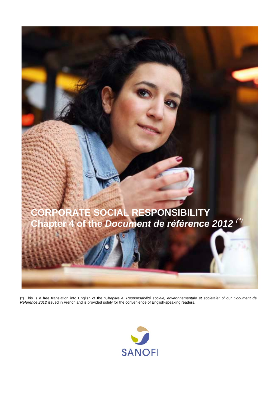

(\*) This is a free translation into English of the *"Chapitre 4. Responsabilité sociale, environnementale et sociétale"* of our *Document de Référence 2012* issued in French and is provided solely for the convenience of English-speaking readers.

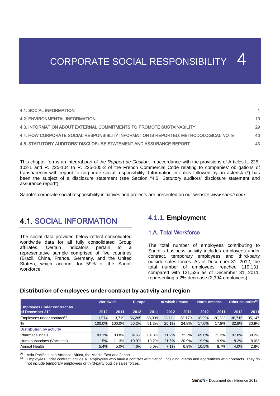# CORPORATE SOCIAL RESPONSIBILITY 4

| 4.1. SOCIAL INFORMATION                                                              |    |
|--------------------------------------------------------------------------------------|----|
| <b>4.2. ENVIRONMENTAL INFORMATION</b>                                                | 19 |
| 4.3. INFORMATION ABOUT EXTERNAL COMMITMENTS TO PROMOTE SUSTAINABILITY                | 29 |
| 4.4. HOW CORPORATE SOCIAL RESPONSIBLITY INFORMATION IS REPORTED: METHODOLOGICAL NOTE | 40 |
| 4.5. STATUTORY AUDITORS' DISCLOSURE STATEMENT AND ASSURANCE REPORT                   | 43 |

This chapter forms an integral part of the *Rapport de Gestion*, in accordance with the provisions of Articles L. 225- 102-1 and R. 225-104 to R. 225-105-2 of the French Commercial Code relating to companies' obligations of transparency with regard to corporate social responsibility. Information in italics followed by an asterisk (\*) has been the subject of a disclosure statement (see Section "4.5. Statutory auditors' disclosure statement and assurance report").

Sanofi's corporate social responsibility initiatives and projects are presented on our website *[www.sanofi.com](http://www.sanofi.com/)*.

# <span id="page-1-0"></span>4.1. SOCIAL INFORMATION

The social data provided below reflect consolidated worldwide data for all fully consolidated Group affiliates. Certain indicators pertain to a representative sample comprised of five countries (Brazil, China, France, Germany, and the United States), which account for 59% of the Sanofi workforce.

# **4.1.1. Employment**

# 1.A. Total Workforce

The total number of employees contributing to Sanofi's business activity includes employees under contract, temporary employees and third-party outside sales forces. As of December 31, 2012, the total number of employees reached 119,131, compared with 121,525 as of December 31, 2011, representing a 2% decrease (2,394 employees).

#### **Distribution of employees under contract by activity and region**

|                                                                    | Worldwide |         | <b>Europe</b> |        | of which France |        | <b>North America</b> |        | $\mathsf{I}$ Other countries $^{\mathsf{(1)}}$ |        |
|--------------------------------------------------------------------|-----------|---------|---------------|--------|-----------------|--------|----------------------|--------|------------------------------------------------|--------|
| <b>Employees under contract as</b><br>of December 31 <sup>st</sup> | 2012      | 2011    | 2012          | 2011   | 2012            | 2011   | 2012                 | 2011   | 2012                                           | 2011   |
| Employees under contract <sup>(2)</sup>                            | 111.974   | 113.719 | 56.265        | 58,339 | 28.111          | 28.179 | 18.994               | 20.233 | 36,715                                         | 35.147 |
| %                                                                  | 100.0%    | 100.0%  | 50.2%         | 51.3%  | 25.1%           | 24.8%  | 17.0%                | 17.8%  | 32.8%                                          | 30.9%  |
| <b>Distribution by activity</b>                                    |           |         |               |        |                 |        |                      |        |                                                |        |
| Pharmaceuticals                                                    | 83.1%     | 83.8%   | 84.5%         | 84.8%  | 71.2%           | 72.2%  | 69.6%                | 71.3%  | 87.8%                                          | 89.2%  |
| Human Vaccines (Vaccines)                                          | 11.5%     | 11.3%   | 10.9%         | 10.2%  | 21.6%           | 20.9%  | 19.9%                | 19.9%  | 8.2%                                           | 8.0%   |
| Animal Health                                                      | 5.4%      | 5.0%    | 4.6%          | 5.0%   | 7.1%            | 6.9%   | 10.5%                | 8.7%   | 4.0%                                           | 2.8%   |

<sup>(1)</sup> Asia-Pacific, Latin America, Africa, the Middle East and Japan.<br><sup>(2)</sup> Employees under contract include all employees who have a contract with Sanofi, including interns and apprentices with contracts. They do not include temporary employees or third-party outside sales forces.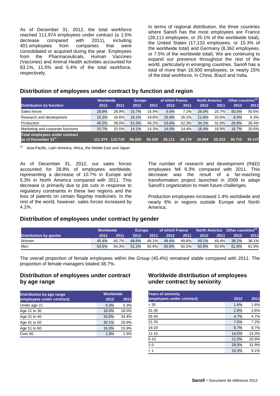As of December 31, 2012, the total workforce reached 111,974 employees under contract (a 1.5%<br>decrease compared with 2011). including compared with 2011), including 401 employees from companies that were consolidated or acquired during the year. Employees from the Pharmaceuticals, Human Vaccines (Vaccines) and Animal Health activities accounted for 83.1%, 11.5% and 5.4% of the total workforce, respectively.

In terms of regional distribution, the three countries where Sanofi has the most employees are France (28,111 employees, or 25.1% of the worldwide total), the United States (17,133 employees, or 15.3% of the worldwide total) and Germany (8,362 employees, or 7.5% of the worldwide total). We are continuing to expand our presence throughout the rest of the world, particularly in emerging countries. Sanofi has a total of more than 16,500 employees, or nearly 15% of the total workforce, in China, Brazil and India.

#### **Distribution of employees under contract by function and region**

|                                                                   | Worldwide |         | <b>Europe</b> |        | of which France |        | North America |        | Other countries <sup>(1)</sup> |        |
|-------------------------------------------------------------------|-----------|---------|---------------|--------|-----------------|--------|---------------|--------|--------------------------------|--------|
| <b>Distribution by function</b>                                   | 2012      | 2011    | 2012          | 2011   | 2012            | 2011   | 2012          | 2011   | 2012                           | 2011   |
| Sales forces                                                      | 28.8%     | 28.9%   | 15.7%         | 16.9%  | 6.6%            | 7.2%   | 26.0%         | 25.7%  | 50.5%                          | 50.6%  |
| Research and development                                          | 15.2%     | 16.6%   | 19.1%         | 19.6%  | 25.8%           | 26.1%  | 21.6%         | 25.6%  | 6.0%                           | 6.3%   |
| Production                                                        | 40.2%     | 39.0%   | 51.0%         | 49.2%  | 53.6%           | 52.3%  | 34.1%         | 31.8%  | 26.8%                          | 26.4%  |
| Marketing and corporate functions                                 | 15.7%     | 15.5%   | 14.1%         | 14.3%  | 14.0%           | 14.4%  | 18.4%         | 16.9%  | 16.7%                          | 16.6%  |
| Total employees under contract<br>as of December 31 <sup>st</sup> | 111.974   | 113.719 | 56.265        | 58.339 | 28.111          | 28.179 | 18.994        | 20.233 | 36.715                         | 35.147 |

 $(1)$  Asia-Pacific, Latin America, Africa, the Middle East and Japan.

As of December 31, 2012, our sales forces accounted for 28.8% of employees worldwide, representing a decrease of 10.7% in Europe and 5.3% in North America compared with 2011. This decrease is primarily due to job cuts in response to regulatory constraints in these two regions and the loss of patents on certain flagship medicines. In the rest of the world, however, sales forces increased by 4.1%.

The number of research and development (R&D) employees fell 9.3% compared with 2011. This decrease was the result of a far-reaching transformation project launched in 2009 to adapt Sanofi's organization to meet future challenges.

Production employees increased 1.4% worldwide and nearly 6% in regions outside Europe and North America.

#### **Distribution of employees under contract by gender**

|                        | Worldwide |       | Europe |       | of which France |       |       |       | North America $\overline{\phantom{a}}$ Other countries <sup>(1)</sup> |       |
|------------------------|-----------|-------|--------|-------|-----------------|-------|-------|-------|-----------------------------------------------------------------------|-------|
| Distribution by gender | 2012      | 2011  | 2012   | 2011  | 2012            | 2011  | 2012  | 2011  | 2012                                                                  | 2011  |
| Women                  | 45.4%     | 45.7% | 48.8%  | 49.1% | 49.4%           | 49.8% | 49.1% | 49.4% | 38.2%                                                                 | 38.1% |
| Men                    | 54.6%     | 54.3% | 51.2%  | 50.9% | 50.6%           | 50.2% | 50.9% | 50.6% | 61.8%                                                                 | 61.9% |

The overall proportion of female employees within the Group (45.4%) remained stable compared with 2011. The proportion of female managers totaled 38.7%.

# **Distribution of employees under contract by age range**

| Distribution by age range  | Worldwide |       |
|----------------------------|-----------|-------|
| (employees under contract) | 2012      | 2011  |
| Under age 21               | 0.3%      | 0.3%  |
| Age 21 to 30               | 18.0%     | 18.0% |
| Age 31 to 40               | 33.6%     | 34.4% |
| Age 41 to 50               | 30.1%     | 29.9% |
| Age 51 to 60               | 16.3%     | 15.9% |
| Over <sub>60</sub>         | 1.6%      | 1.5%  |

# **Worldwide distribution of employees under contract by seniority**

| <b>Years of seniority</b>  |       |       |
|----------------------------|-------|-------|
| (employees under contract) | 2012  | 2011  |
| > 35                       | 1.6%  | 1.6%  |
| $31 - 35$                  | 2.8%  | 2.6%  |
| 26-30                      | 4.7%  | 4.7%  |
| $21 - 25$                  | 7.5%  | 7.2%  |
| 16-20                      | 8.7%  | 8.7%  |
| $11 - 15$                  | 14.5% | 13.3% |
| $6 - 10$                   | 21.5% | 20.9% |
| $1 - 5$                    | 28.5% | 31.9% |
| < 1                        | 10.3% | 9.1%  |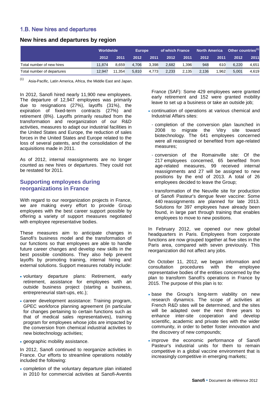# 1.B. New hires and departures

#### **New hires and departures by region**

|                            | Worldwide |        | <b>Europe</b> |       | of which France |       |       |       | North America Other countries <sup>(1)</sup> |       |
|----------------------------|-----------|--------|---------------|-------|-----------------|-------|-------|-------|----------------------------------------------|-------|
|                            | 2012      | 2011   | 2012          | 2011  | 2012            | 2011  | 2012  | 2011  | 2012                                         | 2011  |
| Total number of new hires  | 11.874    | 8.659  | 4.706         | 3.398 | 2.682           | 1.396 | 948   | 610   | 6.220                                        | 4,651 |
| Total number of departures | 12.947    | 11.354 | 5.810         | 4.773 | 2,233           | 2.135 | 2.136 | 1.962 | 5.001                                        | 4,619 |

(1) Asia-Pacific, Latin America, Africa, the Middle East and Japan.

In 2012, Sanofi hired nearly 11,900 new employees. The departure of 12,947 employees was primarily due to resignations (27%), layoffs (31%), the expiration of fixed-term contracts (27%) and retirement (8%). Layoffs primarily resulted from the transformation and reorganization of our R&D activities, measures to adapt our industrial facilities in the United States and Europe, the reduction of sales forces in the United States and Europe related to the loss of several patents, and the consolidation of the acquisitions made in 2011.

As of 2012, internal reassignments are no longer counted as new hires or departures. They could not be restated for 2011.

#### **Supporting employees during reorganizations in France**

With regard to our reorganization projects in France, we are making every effort to provide Group employees with the best career support possible by offering a variety of support measures negotiated with employee representative bodies.

These measures aim to anticipate changes in Sanofi's business model and the transformation of our functions so that employees are able to handle future career changes and develop new skills in the best possible conditions. They also help prevent layoffs by promoting training, internal hiring and external solutions. Support measures notably include:

- voluntary departure plans: Retirement, early retirement, assistance for employees with an outside business project (starting a business, entrepreneurial start-ups, etc.);
- career development assistance: Training program, GPEC workforce planning agreement (in particular for changes pertaining to certain functions such as that of medical sales representatives), training program for employees whose jobs are impacted by the conversion from chemical industrial activities to new biotechnology activities;
- geographic mobility assistance.

In 2012, Sanofi continued to reorganize activities in France. Our efforts to streamline operations notably included the following:

• completion of the voluntary departure plan initiated in 2010 for commercial activities at Sanofi-Aventis

France (SAF): Some 429 employees were granted early retirement and 152 were granted mobility leave to set up a business or take an outside job:

- continuation of operations at various chemical and Industrial Affairs sites:
- completion of the conversion plan launched in 2008 to migrate the Vitry site toward biotechnology. The 641 employees concerned were all reassigned or benefited from age-related measures;
- conversion of the Romainville site: Of the 217 employees concerned, 65 benefited from age-related measures, 99 received internal reassignments and 27 will be assigned to new positions by the end of 2013. A total of 26 employees decided to leave the Group;
- transformation of the Neuville site for production of Sanofi Pasteur's dengue fever vaccine: Some 440 reassignments are planned for late 2013. Solutions for 397 employees have already been found, in large part through training that enables employees to move to new positions.

In February 2012, we opened our new global headquarters in Paris. Employees from corporate functions are now grouped together at five sites in the Paris area, compared with seven previously. This reorganization did not affect any jobs.

On October 11, 2012, we began information and consultation procedures with the employee representative bodies of the entities concerned by the plan to transform Sanofi's operations in France by 2015. The purpose of this plan is to:

- base the Group's long-term viability on new research dynamics. The scope of activities at French R&D sites will be determined, and the sites will be adapted over the next three years to enhance inter-site cooperation and develop scientific, academic and private ties with the wider community, in order to better foster innovation and the discovery of new compounds;
- improve the economic performance of Sanofi Pasteur's industrial units for them to remain competitive in a global vaccine environment that is increasingly competitive in emerging markets;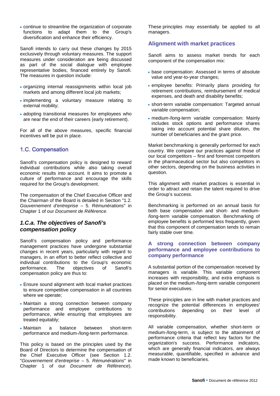• continue to streamline the organization of corporate functions to adapt them to the Group's diversification and enhance their efficiency.

Sanofi intends to carry out these changes by 2015 exclusively through voluntary measures. The support measures under consideration are being discussed as part of the social dialogue with employee representative bodies, financed entirely by Sanofi. The measures in question include:

- organizing internal reassignments within local job markets and among different local job markets;
- implementing a voluntary measure relating to external mobility;
- adopting transitional measures for employees who are near the end of their careers (early retirement).

For all of the above measures, specific financial incentives will be put in place.

# 1.C. Compensation

Sanofi's compensation policy is designed to reward individual contributions while also taking overall economic results into account. It aims to promote a culture of performance and encourage the skills required for the Group's development.

The compensation of the Chief Executive Officer and the Chairman of the Board is detailed in Section "1.2. *Gouvernement d'entreprise* – 5. *Rémunérations*" in Chapter 1 of our *Document de Référence*.

## *1.C.a. The objectives of Sanofi's compensation policy*

Sanofi's compensation policy and performance management practices have undergone substantial changes in recent years, particularly with regard to managers, in an effort to better reflect collective and individual contributions to the Group's economic performance. The objectives of Sanofi's compensation policy are thus to:

- Ensure sound alignment with local market practices to ensure competitive compensation in all countries where we operate;
- Maintain a strong connection between company performance and employee contributions to performance, while ensuring that employees are treated equitably;
- Maintain a balance between short-term performance and medium-/long-term performance.

This policy is based on the principles used by the Board of Directors to determine the compensation of the Chief Executive Officer (see Section 1.2. "*Gouvernement d'entreprise* – 5. *Rémunérations*" in Chapter 1 of our *Document de Référence*).

These principles may essentially be applied to all managers.

### **Alignment with market practices**

Sanofi aims to assess market trends for each component of the compensation mix:

- base compensation: Assessed in terms of absolute value and year-to-year changes;
- employee benefits: Primarily plans providing for retirement contributions, reimbursement of medical expenses, and death and disability benefits;
- short-term variable compensation: Targeted annual variable compensation;
- medium-/long-term variable compensation: Mainly includes stock options and performance shares taking into account potential share dilution, the number of beneficiaries and the grant price.

Market benchmarking is generally performed for each country. We compare our practices against those of our local competitors – first and foremost competitors in the pharmaceutical sector but also competitors in other sectors, depending on the business activities in question.

This alignment with market practices is essential in order to attract and retain the talent required to drive the Group's success.

Benchmarking is performed on an annual basis for both base compensation and short- and medium- /long-term variable compensation. Benchmarking of employee benefits is performed less frequently, given that this component of compensation tends to remain fairly stable over time.

#### **A strong connection between company performance and employee contributions to company performance**

A substantial portion of the compensation received by managers is variable. This variable component increases with responsibility, and extra emphasis is placed on the medium-/long-term variable component for senior executives.

These principles are in line with market practices and recognize the potential differences in employees' contributions depending on their level of responsibility.

All variable compensation, whether short-term or medium-/long-term, is subject to the attainment of performance criteria that reflect key factors for the organization's success. Performance indicators, which are generally financial indicators, are always measurable, quantifiable, specified in advance and made known to beneficiaries.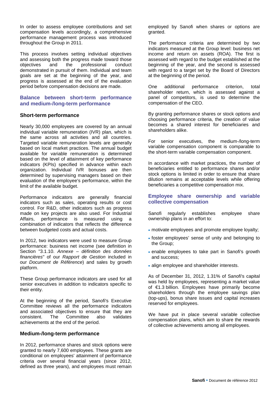In order to assess employee contributions and set compensation levels accordingly, a comprehensive performance management process was introduced throughout the Group in 2011.

This process involves setting individual objectives and assessing both the progress made toward those<br>objectives and the professional conduct professional conduct demonstrated in pursuit of them. Individual and team goals are set at the beginning of the year, and progress is assessed at the end of the evaluation period before compensation decisions are made.

#### **Balance between short-term performance and medium-/long-term performance**

#### **Short-term performance**

Nearly 30,000 employees are covered by an annual individual variable remuneration (IVR) plan, which is the same across all activities and all countries. Targeted variable remuneration levels are generally based on local market practices. The annual budget available for variable remuneration is determined based on the level of attainment of key performance indicators (KPIs) specified in advance within each organization. Individual IVR bonuses are then determined by supervising managers based on their evaluation of the employee's performance, within the limit of the available budget.

Performance indicators are generally financial indicators such as sales, operating results or cost control. For R&D, other indicators such as progress made on key projects are also used. For Industrial Affairs, performance is measured using a combination of indicators that reflects the difference between budgeted costs and actual costs.

In 2012, two indicators were used to measure Group performance: business net income (see definition in Section "3.1.10. *Annexe – définition des données financières*" of our *Rapport de Gestion* included in our *Document de Référence*) and sales by growth platform.

These Group performance indicators are used for all senior executives in addition to indicators specific to their entity.

At the beginning of the period, Sanofi's Executive Committee reviews all the performance indicators and associated objectives to ensure that they are consistent. The Committee also validates Committee achievements at the end of the period.

#### **Medium-/long-term performance**

In 2012, performance shares and stock options were granted to nearly 7,600 employees. These grants are conditional on employees' attainment of performance criteria over several financial years (since 2012, defined as three years), and employees must remain employed by Sanofi when shares or options are granted.

The performance criteria are determined by two indicators measured at the Group level: business net income and return on assets (ROA). The first is assessed with regard to the budget established at the beginning of the year, and the second is assessed with regard to a target set by the Board of Directors at the beginning of the period.

One additional performance criterion, total shareholder return, which is assessed against a panel of competitors, is used to determine the compensation of the CEO.

By granting performance shares or stock options and choosing performance criteria, the creation of value becomes a shared interest for beneficiaries and shareholders alike.

For senior executives, the medium-/long-term variable compensation component is comparable to the short-term variable compensation component.

In accordance with market practices, the number of beneficiaries entitled to performance shares and/or stock options is limited in order to ensure that share dilution remains at acceptable levels while offering beneficiaries a competitive compensation mix.

#### **Employee share ownership and variable collective compensation**

Sanofi regularly establishes employee share ownership plans in an effort to:

- motivate employees and promote employee loyalty;
- foster employees' sense of unity and belonging to the Group;
- enable employees to take part in Sanofi's growth and success;
- align employee and shareholder interests.

As of December 31, 2012, 1.31% of Sanofi's capital was held by employees, representing a market value of €1.3 billion. Employees have primarily become shareholders through the employee savings plan (top-ups), bonus share issues and capital increases reserved for employees.

We have put in place several variable collective compensation plans, which aim to share the rewards of collective achievements among all employees.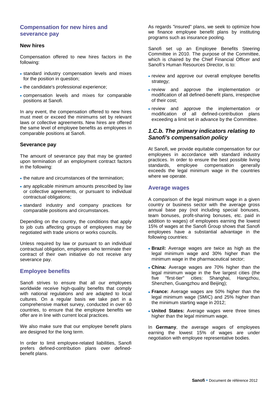#### **Compensation for new hires and severance pay**

#### **New hires**

Compensation offered to new hires factors in the following:

- standard industry compensation levels and mixes for the position in question;
- the candidate's professional experience:
- compensation levels and mixes for comparable positions at Sanofi.

In any event, the compensation offered to new hires must meet or exceed the minimums set by relevant laws or collective agreements. New hires are offered the same level of employee benefits as employees in comparable positions at Sanofi.

#### **Severance pay**

The amount of severance pay that may be granted upon termination of an employment contract factors in the following:

- the nature and circumstances of the termination;
- any applicable minimum amounts prescribed by law or collective agreements, or pursuant to individual contractual obligations;
- standard industry and company practices for comparable positions and circumstances.

Depending on the country, the conditions that apply to job cuts affecting groups of employees may be negotiated with trade unions or works councils.

Unless required by law or pursuant to an individual contractual obligation, employees who terminate their contract of their own initiative do not receive any severance pay.

#### **Employee benefits**

Sanofi strives to ensure that all our employees worldwide receive high-quality benefits that comply with national regulations and are adapted to local cultures. On a regular basis we take part in a comprehensive market survey, conducted in over 60 countries, to ensure that the employee benefits we offer are in line with current local practices.

We also make sure that our employee benefit plans are designed for the long term.

In order to limit employee-related liabilities, Sanofi prefers defined-contribution plans over definedbenefit plans.

As regards "insured" plans, we seek to optimize how we finance employee benefit plans by instituting programs such as insurance pooling.

Sanofi set up an Employee Benefits Steering Committee in 2010. The purpose of the Committee, which is chaired by the Chief Financial Officer and Sanofi's Human Resources Director, is to:

- review and approve our overall employee benefits strategy;
- review and approve the implementation or modification of all defined-benefit plans, irrespective of their cost;
- review and approve the implementation or modification of all defined-contribution plans exceeding a limit set in advance by the Committee.

#### *1.C.b. The primary indicators relating to Sanofi's compensation policy*

At Sanofi, we provide equitable compensation for our employees in accordance with standard industry practices. In order to ensure the best possible living standards, employee compensation generally exceeds the legal minimum wage in the countries where we operate.

#### **Average wages**

A comparison of the legal minimum wage in a given country or business sector with the average gross annual base pay (not including special bonuses, team bonuses, profit-sharing bonuses, etc. paid in addition to wages) of employees earning the lowest 15% of wages at the Sanofi Group shows that Sanofi employees have a substantial advantage in the following countries:

- **Brazil:** Average wages are twice as high as the legal minimum wage and 30% higher than the minimum wage in the pharmaceutical sector;
- **China:** Average wages are 70% higher than the legal minimum wage in the five largest cities (the five "first-tier" cities: Shanghai, Hangzhou, Hangzhou, Shenzhen, Guangzhou and Beijing);
- **France:** Average wages are 50% higher than the legal minimum wage (SMIC) and 25% higher than the minimum starting wage in 2012;
- **United States:** Average wages were three times higher than the legal minimum wage.

In **Germany**, the average wages of employees earning the lowest 15% of wages are under negotiation with employee representative bodies.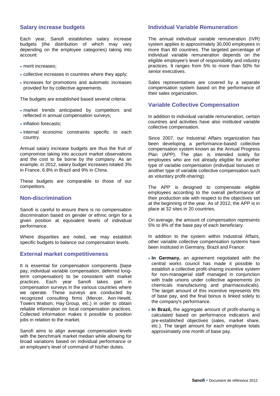#### **Salary increase budgets**

Each year, Sanofi establishes salary increase budgets (the distribution of which may vary depending on the employee categories) taking into account:

- merit increases:
- collective increases in countries where they apply;
- increases for promotions and automatic increases provided for by collective agreements.

The budgets are established based several criteria:

- market trends anticipated by competitors and reflected in annual compensation surveys;
- inflation forecasts:
- internal economic constraints specific to each country.

Annual salary increase budgets are thus the fruit of compromise taking into account market observations and the cost to be borne by the company. As an example, in 2012, salary budget increases totaled 3% in France, 6.8% in Brazil and 9% in China.

These budgets are comparable to those of our competitors.

#### **Non-discrimination**

Sanofi is careful to ensure there is no compensation discrimination based on gender or ethnic origin for a given position at equivalent levels of individual performance.

Where disparities are noted, we may establish specific budgets to balance out compensation levels.

#### **External market competitiveness**

It is essential for compensation components (base pay, individual variable compensation, deferred longterm compensation) to be consistent with market practices. Each year Sanofi takes part in compensation surveys in the various countries where we operate. These surveys are conducted by recognized consulting firms (Mercer, Aon Hewitt, Towers Watson, Hay Group, etc.) in order to obtain reliable information on local compensation practices. Collected information makes it possible to position jobs in relation to the market.

Sanofi aims to align average compensation levels with the benchmark market median while allowing for broad variations based on individual performance or an employee's level of command of his/her duties.

#### **Individual Variable Remuneration**

The annual individual variable remuneration (IVR) system applies to approximately 30,000 employees in more than 80 countries. The targeted percentage of individual variable remuneration depends on the eligible employee's level of responsibility and industry practices. It ranges from 5% to more than 50% for senior executives.

Sales representatives are covered by a separate compensation system based on the performance of their sales organization.

#### **Variable Collective Compensation**

In addition to individual variable remuneration, certain countries and activities have also instituted variable collective compensation.

Since 2007, our Industrial Affairs organization has been developing a performance-based collective compensation system known as the Annual Progress Plan (APP). The plan is intended solely for employees who are not already eligible for another type of variable compensation (individual bonuses or another type of variable collective compensation such as voluntary profit-sharing).

The APP is designed to compensate eligible employees according to the overall performance of their production site with respect to the objectives set at the beginning of the year. As of 2012, the APP is in place at 32 sites in 20 countries.

On average, the amount of compensation represents 5% to 8% of the base pay of each beneficiary.

In addition to the system within Industrial Affairs, other variable collective compensation systems have been instituted in Germany, Brazil and France:

- **In Germany,** an agreement negotiated with the central works council has made it possible to establish a collective profit-sharing incentive system for non-managerial staff managed in conjunction with trade unions under collective agreements (in chemicals manufacturing and pharmaceuticals). The target amount of this incentive represents 6% of base pay, and the final bonus is linked solely to the company's performance.
- **In Brazil,** the aggregate amount of profit-sharing is calculated based on performance indicators and pre-established objectives (sales, market share, etc.). The target amount for each employee totals approximately one month of base pay.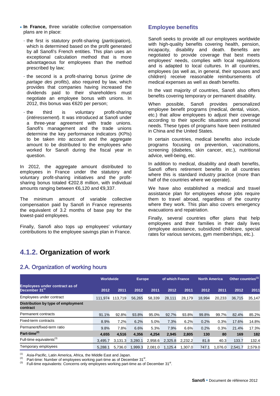- **In France,** three variable collective compensation plans are in place:
	- the first is statutory profit-sharing (*participation*), which is determined based on the profit generated by all Sanofi's French entities. This plan uses an exceptional calculation method that is more advantageous for employees than the method prescribed by law;
	- the second is a profit-sharing bonus (*prime de partage des profits*), also required by law, which provides that companies having increased the dividends paid to their shareholders must negotiate an employee bonus with unions. In 2012, this bonus was €620 per person;
	- the third is voluntary profit-sharing (*intéressement*). It was introduced at Sanofi under a three-year agreement with trade unions. Sanofi's management and the trade unions determine the key performance indicators (KPIs) to be taken into account and the aggregate amount to be distributed to the employees who worked for Sanofi during the fiscal year in question.

In 2012, the aggregate amount distributed to employees in France under the statutory and voluntary profit-sharing initiatives and the profitsharing bonus totaled €202.8 million, with individual amounts ranging between €6,120 and €9,337.

The minimum amount of variable collective compensation paid by Sanofi in France represents the equivalent of 3.2 months of base pay for the lowest-paid employees.

Finally, Sanofi also tops up employees' voluntary contributions to the employee savings plan in France.

### **Employee benefits**

Sanofi seeks to provide all our employees worldwide with high-quality benefits covering health, pension, incapacity, disability and death. Benefits are negotiated to provide coverage that best meets employees' needs, complies with local regulations and is adapted to local cultures. In all countries, employees (as well as, in general, their spouses and children) receive reasonable reimbursements of medical expenses as well as death benefits.

In the vast majority of countries, Sanofi also offers benefits covering temporary or permanent disability.

When possible, Sanofi provides personalized employee benefit programs (medical, dental, vision, etc.) that allow employees to adjust their coverage according to their specific situations and personal needs. These types of programs have been instituted in China and the United States.

In certain countries, medical benefits also include programs focusing on prevention, vaccinations, screening (diabetes, skin cancer, etc.), nutritional advice, well-being, etc.

In addition to medical, disability and death benefits, Sanofi offers retirement benefits in all countries where this is standard industry practice (more than half of the countries where we operate).

We have also established a medical and travel assistance plan for employees whose jobs require them to travel abroad, regardless of the country where they work. This plan also covers emergency evacuations and repatriation.

Finally, several countries offer plans that help employees and their families in their daily lives (employee assistance, subsidized childcare, special rates for various services, gym memberships, etc.).

# **4.1.2. Organization of work**

# 2.A. Organization of working hours

|                                                                    | Worldwide |         | <b>Europe</b> |         | of which France |         | <b>North America</b> |         | Other countries <sup>(1)</sup> |         |
|--------------------------------------------------------------------|-----------|---------|---------------|---------|-----------------|---------|----------------------|---------|--------------------------------|---------|
| <b>Employees under contract as of</b><br>December 31 <sup>st</sup> | 2012      | 2011    | 2012          | 2011    | 2012            | 2011    | 2012                 | 2011    | 2012                           | 2011    |
| Employees under contract                                           | 111.974   | 113,719 | 56,265        | 58,339  | 28,111          | 28,179  | 18,994               | 20,233  | 36,715                         | 35,147  |
| Distribution by type of employment<br>contract                     |           |         |               |         |                 |         |                      |         |                                |         |
| Permanent contracts                                                | 91.1%     | 92.8%   | 93.8%         | 95.0%   | 92.7%           | 93.8%   | 99.8%                | 99.7%   | 82.4%                          | 85.2%   |
| Fixed-term contracts                                               | 8.9%      | 7.2%    | 6.2%          | 5.0%    | 7.3%            | 6.2%    | 0.2%                 | 0.3%    | 17.6%                          | 14.8%   |
| Permanent/fixed-term ratio                                         | 9.8%      | 7.8%    | 6.6%          | 5.3%    | 7.9%            | 6.6%    | 0.2%                 | 0.3%    | 21.4%                          | 17.3%   |
| Part-time <sup>(2)</sup>                                           | 4,655     | 4,516   | 4,356         | 4,254   | 2,945           | 2,805   | 130                  | 80      | 169                            | 182     |
| Full-time equivalents <sup>(3)</sup>                               | 3.495.7   | 3.131.3 | 3.280.1       | 2.958.6 | 2.325.8         | 2.232.2 | 81.8                 | 40.3    | 133.7                          | 132.4   |
| Temporary employees                                                | 5.288.1   | 5.736.0 | 1.999.3       | 2.081.0 | 1.125.4         | 1.307.0 | 747.1                | 1.076.0 | 2.541.7                        | 2.579.0 |

(1) Asia-Pacific, Latin America, Africa, the Middle East and Japan.<br>
(2) Part-time: Number of employees working part-time as of December 31<sup>st</sup>.<br>
(3) Full time as wivelette: Concerns and apple unpleuses working part time

<sup>(∠)</sup> Part-time: Number of employees working part-time as of December 31<sup>st</sup>.<br><sup>(3)</sup> Full-time equivalents: Concerns only employees working part-time as of December 31<sup>st</sup>.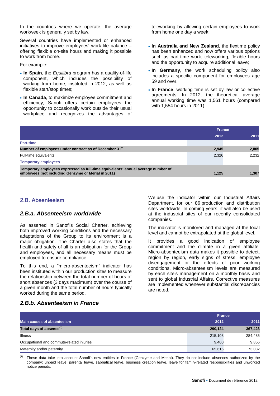In the countries where we operate, the average workweek is generally set by law.

Several countries have implemented or enhanced initiatives to improve employees' work-life balance – offering flexible on-site hours and making it possible to work from home.

#### For example:

- **In Spain**, the *Equilibra* program has a quality-of-life component, which includes the possibility of working from home, instituted in 2012, as well as flexible start/stop times;
- **In Canada**, to maximize employee commitment and efficiency, Sanofi offers certain employees the opportunity to occasionally work outside their usual workplace and recognizes the advantages of

teleworking by allowing certain employees to work from home one day a week;

- **In Australia and New Zealand**, the flextime policy has been enhanced and now offers various options such as part-time work, teleworking, flexible hours and the opportunity to acquire additional leave;
- **In Germany**, the work scheduling policy also includes a specific component for employees age 59 and over.
- **In France**, working time is set by law or collective agreements. In 2012, the theoretical average annual working time was 1,561 hours (compared with 1,554 hours in 2011).

|                                                                                                                                         | <b>France</b> |       |  |
|-----------------------------------------------------------------------------------------------------------------------------------------|---------------|-------|--|
|                                                                                                                                         | 2012          | 2011  |  |
| <b>Part-time</b>                                                                                                                        |               |       |  |
| Number of employees under contract as of December 31 <sup>st</sup>                                                                      | 2,945         | 2,805 |  |
| Full-time equivalents                                                                                                                   | 2,326         | 2.232 |  |
| <b>Temporary employees</b>                                                                                                              |               |       |  |
| Temporary employees expressed as full-time equivalents: annual average number of<br>employees (not including Genzyme or Merial in 2011) | 1,125         | 1,307 |  |

#### 2.B. Absenteeism

#### *2.B.a. Absenteeism worldwide*

As asserted in Sanofi's Social Charter, achieving both improved working conditions and the necessary adaptations of the Group to its environment is a major obligation. The Charter also states that the health and safety of all is an obligation for the Group and employees, and all necessary means must be employed to ensure compliance.

To this end, a "micro-absenteeism" indicator has been instituted within our production sites to measure the relationship between the total number of hours of short absences (3 days maximum) over the course of a given month and the total number of hours typically worked during the same period.

We use the indicator within our Industrial Affairs Department, for our 86 production and distribution sites worldwide. In coming years, it will also be used at the industrial sites of our recently consolidated companies.

The indicator is monitored and managed at the local level and cannot be extrapolated at the global level.

It provides a good indication of employee commitment and the climate in a given affiliate. Micro-absenteeism data makes it possible to detect, region by region, early signs of stress, employee disengagement or the effects of poor working conditions. Micro-absenteeism levels are measured by each site's management on a monthly basis and sent to global Industrial Affairs. Corrective measures are implemented whenever substantial discrepancies are noted.

#### *2.B.b. Absenteeism in France*

|                                           | <b>France</b> |         |
|-------------------------------------------|---------------|---------|
| <b>Main causes of absenteeism</b>         | 2012          | 2011    |
| Total days of absence <sup>(1)</sup>      | 290,124       | 367,423 |
| <b>Illness</b>                            | 215.108       | 284,485 |
| Occupational and commute-related injuries | 9.400         | 9,856   |
| Maternity and/or paternity                | 65,616        | 73,082  |

These data take into account Sanofi's new entities in France (Genzyme and Merial). They do not include absences authorized by the company: unpaid leave, parental leave, sabbatical leave, business creation leave, leave for family-related responsibilities and unworked notice periods.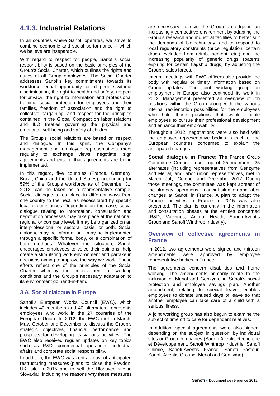# **4.1.3. Industrial Relations**

In all countries where Sanofi operates, we strive to combine economic and social performance – which we believe are inseparable.

With regard to respect for people, Sanofi's social responsibility is based on the basic principles of the Group's Social Charter, which outlines the rights and duties of all Group employees. The Social Charter addresses Sanofi's key commitments towards its workforce: equal opportunity for all people without discrimination, the right to health and safety, respect for privacy, the right to information and professional training, social protection for employees and their families, freedom of association and the right to collective bargaining, and respect for the principles contained in the Global Compact on labor relations and ILO treaties governing the physical and emotional well-being and safety of children.

The Group's social relations are based on respect and dialogue. In this spirit, the Company's management and employee representatives meet regularly to exchange views, negotiate, sign agreements and ensure that agreements are being implemented.

In this regard, five countries (France, Germany, Brazil, China and the United States), accounting for 59% of the Group's workforce as of December 31, 2012, can be taken as a representative sample. Social dialogue takes place in different ways from one country to the next, as necessitated by specific local circumstances. Depending on the case, social dialogue relating to information, consultation and negotiation processes may take place at the national, regional or company level. It may be organized on an interprofessional or sectoral basis, or both. Social dialogue may be informal or it may be implemented through a specific formal body, or a combination of both methods. Whatever the situation, Sanofi encourages employees to voice their opinions, help create a stimulating work environment and partake in decisions aiming to improve the way we work. These efforts reflect one of the principles of the Social Charter whereby the improvement of working conditions and the Group's necessary adaptation to its environment go hand-in-hand.

# 3.A. Social dialogue in Europe

Sanofi's European Works Council (EWC), which includes 40 members and 40 alternates, represents employees who work in the 27 countries of the European Union. In 2012, the EWC met in March, May, October and December to discuss the Group's strategic objectives, financial performance and prospects for developing its various activities. The EWC also received regular updates on key topics such as R&D, commercial operations, industrial affairs and corporate social responsibility.

In addition, the EWC was kept abreast of anticipated restructuring measures (plans to close the Fawdon, UK, site in 2015 and to sell the Hlohovec site in Slovakia), including the reasons why these measures are necessary: to give the Group an edge in an increasingly competitive environment by adapting the Group's research and industrial facilities to better suit the demands of biotechnology, and to respond to local regulatory constraints (price regulation, certain drugs excluded from reimbursement, etc.) and the increasing popularity of generic drugs (patents expiring for certain flagship drugs) by adjusting the Group's sales forces.

Interim meetings with EWC officers also provide the body with regular or timely information based on Group updates. The joint working group on employment in Europe also continued its work in 2012. Management presented an overview of job positions within the Group along with the various internal reorientation possibilities for the employees who hold those positions that would enable employees to pursue their professional development and enhance their employability.

Throughout 2012, negotiations were also held with the employee representative bodies in each of the European countries concerned to explain the anticipated changes.

**Social dialogue in France:** The France Group Committee Council, made up of 25 members, 25 alternates (including representatives from Genzyme and Merial) and labor union representatives, met in March, July, October and December 2012. During those meetings, the committee was kept abreast of the strategy, operations, financial situation and labor changes at Sanofi in France. A plan to adapt the Group's activities in France in 2015 was also presented. The plan is currently in the information and consultation phases at the entities concerned (R&D, Vaccines, Animal Health, Sanofi-Aventis Group and Sanofi Winthrop Industry).

#### **Overview of collective agreements in France**

In 2012, two agreements were signed and thirteen<br>amendments were approved by employee approved by employee representative bodies in France.

The agreements concern disabilities and home working. The amendments primarily relate to the inclusion of Merial and Genzyme in Sanofi's social protection and employee savings plan. Another amendment, relating to special leave, enables employees to donate unused days of leave so that another employee can take care of a child with a serious illness.

A joint working group has also begun to examine the subject of time off to care for dependent relatives.

In addition, special agreements were also signed, depending on the subject in question, by individual sites or Group companies (Sanofi-Aventis Recherche et Développement, Sanofi Winthrop Industrie, Sanofi Chimie, Sanofi-Aventis France, Sanofi Pasteur, Sanofi-Aventis Groupe, Merial and Genzyme).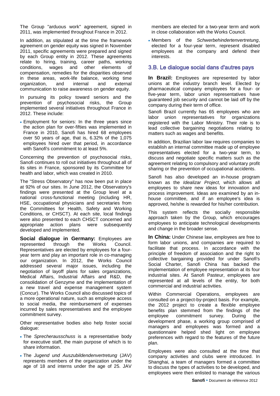The Group "arduous work" agreement, signed in 2011, was implemented throughout France in 2012.

In addition, as stipulated at the time the framework agreement on gender equity was signed in November 2011, specific agreements were prepared and signed by each Group entity in 2012. These agreements relate to hiring, training, career paths, working conditions, wages and other elements of compensation, remedies for the disparities observed in these areas, work-life balance, working time organization, and internal and external communication to raise awareness on gender equity.

In pursuing its policy toward seniors and the prevention of psychosocial risks, the Group implemented several initiatives throughout France in 2012. These include:

• Employment for seniors: In the three years since the action plan for over-fifties was implemented in France in 2010, Sanofi has hired 68 employees over 50 years of age, that is, 6.32% of the 1,075 employees hired over that period, in accordance with Sanofi's commitment to at least 5%.

Concerning the prevention of psychosocial risks, Sanofi continues to roll out initiatives throughout all of its sites in France, sponsored by its Committee for health and labor, which was created in 2010.

The "Stress Observatory" has now been put in place at 92% of our sites. In June 2012, the Observatory's findings were presented at the Group level at a national cross-functional meeting (including HR, HSE, occupational physicians and secretaries from the Committees for Health, Safety and Working Conditions, or CHSCT). At each site, local findings were also presented to each CHSCT concerned and appropriate action plans were subsequently developed and implemented.

**Social dialogue in Germany:** Employees are represented through the Works Council. Representatives are elected by employees for a fouryear term and play an important role in co-managing our organization. In 2012, the Works Council addressed several major issues, including the negotiation of layoff plans for sales organizations, Medical Affairs, Industrial Affairs and R&D, the consolidation of Genzyme and the implementation of a new travel and expense management system (Concur). The Works Council also discussed topics of a more operational nature, such as employee access to social media, the reimbursement of expenses incurred by sales representatives and the employee commitment survey.

Other representative bodies also help foster social dialogue:

- The *Sprecherausschuss* is a representative body for executive staff, the main purpose of which is to share information.
- The *Jugend und Auszubildendenvertretung* (JAV) represents members of the organization under the age of 18 and interns under the age of 25. JAV

members are elected for a two-year term and work in close collaboration with the Works Council.

• Members of the *Schwerbehindertenvertretung*, elected for a four-year term, represent disabled employees at the company and defend their interests.

#### 3.B. Le dialogue social dans d'autres pays

**In Brazil:** Employees are represented by labor unions at the industry branch level. Elected by pharmaceutical company employees for a four- or five-year term, labor union representatives have guaranteed job security and cannot be laid off by the company during their term of office.

Sanofi Brazil currently has 65 employees who are labor union representatives for organizations registered with the Labor Ministry. Their role is to lead collective bargaining negotiations relating to matters such as wages and benefits.

In addition, Brazilian labor law requires companies to establish an internal committee made up of employee representatives elected for a two-year term, to discuss and negotiate specific matters such as the agreement relating to compulsory and voluntary profit sharing or the prevention of occupational accidents.

Sanofi has also developed an in-house program known as the *Idealizar Project*, which allows all employees to share new ideas for innovation and process improvement. Ideas are examined by an inhouse committee, and if an employee's idea is approved, he/she is rewarded for his/her contribution.

This system reflects the socially responsible approach taken by the Group, which encourages employees to anticipate technological developments and change in the broader sense.

**In China:** Under Chinese law, employees are free to form labor unions, and companies are required to facilitate that process. In accordance with the principle of freedom of association and the right to collective bargaining provided for under Sanofi's Social Charter, Sanofi China has backed the implementation of employee representation at its four industrial sites. At Sanofi Pasteur, employees are represented at all levels of the entity, for both commercial and industrial activities.

Within Commercial Operations, employees are consulted on a project-by-project basis. For example, the 2012 project to create a flexible employee benefits plan stemmed from the findings of the employee commitment survey. During the development phase, a working group comprised of managers and employees was formed and a questionnaire helped shed light on employee preferences with regard to the features of the future plan.

Employees were also consulted at the time that company activities and clubs were introduced. In Shanghai, a team of managers formed a committee to discuss the types of activities to be developed, and employees were then enlisted to manage the various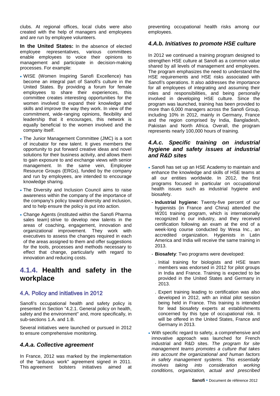clubs. At regional offices, local clubs were also created with the help of managers and employees and are run by employee volunteers.

**In the United States:** In the absence of elected employee representatives, various committees enable employees to voice their opinions to management and participate in decision-making processes. For example:

- WISE (Women Inspiring Sanofi Excellence) has become an integral part of Sanofi's culture in the United States. By providing a forum for female employees to share their experiences, this committee creates interesting opportunities for the women involved to expand their knowledge and skills and improve the way they work. In view of the commitment, wide-ranging opinions, flexibility and leadership that it encourages, this network is equally beneficial to the women involved and the company itself.
- The Junior Management Committee (JMC) is a sort of incubator for new talent. It gives members the opportunity to put forward creative ideas and novel solutions for their business activity, and allows them to gain exposure to and exchange views with senior management. In the same vein, Employee Resource Groups (ERGs), funded by the company and run by employees, are intended to encourage knowledge sharing.
- The Diversity and Inclusion Council aims to raise awareness within the company of the importance of the company's policy toward diversity and inclusion, and to help ensure the policy is put into action.
- Change Agents (instituted within the Sanofi Pharma sales team) strive to develop new talents in the areas of coaching, engagement, innovation and organizational improvement. They work with executives to assess the changes required in each of the areas assigned to them and offer suggestions for the tools, processes and methods necessary to effect that change, particularly with regard to innovation and reducing costs.

# **4.1.4. Health and safety in the workplace**

# 4.A. Policy and initiatives in 2012

Sanofi's occupational health and safety policy is presented in Section "4.2.1. General policy on health, safety and the environment" and, more specifically, in sub-sections 1.A. and 1.B.

Several initiatives were launched or pursued in 2012 to ensure comprehensive monitoring.

#### *4.A.a. Collective agreement*

In France, 2012 was marked by the implementation of the "arduous work" agreement signed in 2011. This agreement bolsters initiatives aimed at preventing occupational health risks among our employees.

## *4.A.b. Initiatives to promote HSE culture*

In 2012 we continued a training program designed to strengthen HSE culture at Sanofi as a common value shared by all levels of management and employees. The program emphasizes the need to understand the HSE requirements and HSE risks associated with Sanofi's operations. It also addresses the importance for all employees of integrating and assuming their roles and responsibilities, and being personally involved in developing HSE culture. Since the program was launched, training has been provided to more than 6,000 managers across the Sanofi Group, including 10% in 2012, mainly in Germany, France and the region comprised by India, Bangladesh, Pakistan and North Africa. Overall, the program represents nearly 100,000 hours of training.

## *4.A.c. Specific training on industrial hygiene and safety issues at industrial and R&D sites*

- Sanofi has set up an HSE Academy to maintain and enhance the knowledge and skills of HSE teams at all our entities worldwide. In 2012, the first programs focused in particular on occupational health issues such as industrial hygiene and biosafety.
	- **Industrial hygiene:** Twenty-five percent of our hygienists (in France and China) attended the W201 training program, which is internationally recognized in our industry, and they received certification following an exam at the end of a week-long course conducted by Wesa Inc., an accredited organization. Hygienists in Latin America and India will receive the same training in 2013.
	- **Biosafety**: Two programs were developed:
		- . Initial training for biologists and HSE team members was endorsed in 2012 for pilot groups in India and France. Training is expected to be provided in the United States and Germany in 2013.
	- . Expert training leading to certification was also developed in 2012, with an initial pilot session being held in France. This training is intended for lead biosafety experts at establishments concerned by this type of occupational risk. It will be offered in the United States, France and Germany in 2013.
- With specific regard to safety, a comprehensive and innovative approach was launched for French industrial and R&D sites. *The program for site management teams promotes a culture that takes into account the organizational and human factors in safety management systems. This essentially involves taking into consideration working conditions, organization, actual and prescribed*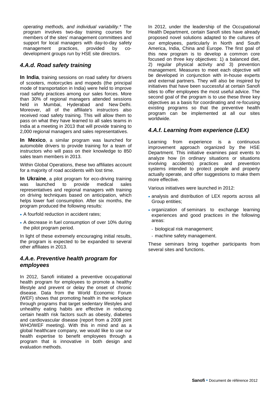*operating methods, and individual variability*.\* The program involves two-day training courses for members of the sites' management committees and support for local managers with day-to-day safety management practices, provided by codevelopment groups run by HSE site directors.

# *4.A.d. Road safety training*

**In India**, training sessions on road safety for drivers of scooters, motorcycles and mopeds (the principal mode of transportation in India) were held to improve road safety practices among our sales forces. More than 30% of regional managers attended sessions held in Mumbai, Hyderabad and New Delhi. Moreover, all of the affiliate's instructors also received road safety training. This will allow them to pass on what they have learned to all sales teams in India at a meeting in 2013 that will provide training to 2,000 regional managers and sales representatives.

**In Mexico**, a similar program was launched for automobile drivers to provide training for a team of instructors who will pass on their knowledge to 850 sales team members in 2013.

Within Global Operations, these two affiliates account for a majority of road accidents with lost time.

**In Ukraine**, a pilot program for eco-driving training was launched to provide medical sales representatives and regional managers with training on driving techniques based on anticipation, which helps lower fuel consumption. After six months, the program produced the following results:

- A fourfold reduction in accident rates;
- A decrease in fuel consumption of over 10% during the pilot program period.

In light of these extremely encouraging initial results, the program is expected to be expanded to several other affiliates in 2013.

# *4.A.e. Preventive health program for employees*

In 2012, Sanofi initiated a preventive occupational health program for employees to promote a healthy lifestyle and prevent or delay the onset of chronic disease. Data from the World Economic Forum (WEF) shows that promoting health in the workplace through programs that target sedentary lifestyles and unhealthy eating habits are effective in reducing certain health risk factors such as obesity, diabetes and cardiovascular disease (report from a 2008 joint WHO/WEF meeting). With this in mind and as a global healthcare company, we would like to use our health expertise to benefit employees through a program that is innovative in both design and evaluation methods.

In 2012, under the leadership of the Occupational Health Department, certain Sanofi sites have already proposed novel solutions adapted to the cultures of our employees, particularly in North and South America, India, China and Europe. The first goal of this new program is to develop a common core focused on three key objectives: 1) a balanced diet, 2) regular physical activity and 3) prevention management. Measures to meet each objective will be developed in conjunction with in-house experts and external partners. They will also be inspired by initiatives that have been successful at certain Sanofi sites to offer employees the most useful advice. The second goal of the program is to use these three key objectives as a basis for coordinating and re-focusing existing programs so that the preventive health program can be implemented at all our sites worldwide.

# *4.A.f. Learning from experience (LEX)*

Learning from experience is a continuous improvement approach organized by the HSE Department. This initiative examines past events to analyze how (in ordinary situations or situations involving accidents) practices and prevention systems intended to protect people and property actually operate, and offer suggestions to make them more effective.

Various initiatives were launched in 2012:

- analysis and distribution of LEX reports across all Group entities;
- organization of seminars to exchange learning experiences and good practices in the following areas:
	- biological risk management;
	- machine safety management.

These seminars bring together participants from several sites and functions.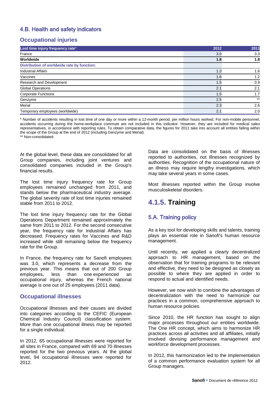# 4.B. Health and safety indicators

## **Occupational injuries**

| Lost time injury frequency rate*            | 2012 | 2011  |
|---------------------------------------------|------|-------|
| France                                      | 3.0  | 3.3   |
| Worldwide                                   | 1.8  | 1.8   |
| Distribution of worldwide rate by function: |      |       |
| <b>Industrial Affairs</b>                   | 1.3  | 1.6   |
| Vaccines                                    | 1.6  | 1.2   |
| Research and Development                    | 1.5  | 0.9   |
| <b>Global Operations</b>                    | 2.1  | 2.1   |
| <b>Corporate Functions</b>                  | 1.5  | 1.7   |
| Genzyme                                     | 2.5  | $***$ |
| Merial                                      | 2.3  | 2.6   |
| Temporary employees (worldwide)             | 2.1  | 2.0   |

\* Number of accidents resulting in lost time of one day or more within a 12-month period, per million hours worked. For non-mobile personnel, accidents occurring during the home-workplace commute are not included in this indicator. However, they are included for medical sales representatives, in accordance with reporting rules. To obtain comparative data, the figures for 2011 take into account all entities falling within the scope of the Group at the end of 2012 (including Genzyme and Merial). \*\* Non-consolidated.

At the global level, these data are consolidated for all Group companies, including joint ventures and consolidated companies included in the Group's financial results.

The lost time injury frequency rate for Group employees remained unchanged from 2011, and stands below the pharmaceutical industry average. The global severity rate of lost time injuries remained stable from 2011 to 2012.

The lost time injury frequency rate for the Global Operations Department remained approximately the same from 2011 to 2012. For the second consecutive year, the frequency rate for Industrial Affairs has decreased. Frequency rates for Vaccines and R&D increased while still remaining below the frequency rate for the Group.

In France, the frequency rate for Sanofi employees was 3.0, which represents a decrease from the previous year. This means that out of 200 Group employees, less than one experienced an occupational injury, whereas the French national average is one out of 25 employees (2011 data).

#### **Occupational illnesses**

Occupational illnesses and their causes are divided into categories according to the CEFIC (European Chemical Industry Council) classification system. More than one occupational illness may be reported for a single individual.

In 2012, 65 occupational illnesses were reported for all sites in France, compared with 69 and 70 illnesses reported for the two previous years. At the global level, 94 occupational illnesses were reported for 2012.

Data are consolidated on the basis of illnesses reported to authorities, not illnesses recognized by authorities. Recognition of the occupational nature of an illness may require lengthy investigations, which may take several years in some cases.

Most illnesses reported within the Group involve musculoskeletal disorders.

# **4.1.5. Training**

# 5.A. Training policy

As a key tool for developing skills and talents, training plays an essential role in Sanofi's human resource management.

Until recently, we applied a clearly decentralized approach to HR management, based on the observation that for training programs to be relevant and effective, they need to be designed as closely as possible to where they are applied in order to respond to actual and identified needs.

However, we now wish to combine the advantages of decentralization with the need to harmonize our practices in a common, comprehensive approach to human resource policies.

Since 2010, the HR function has sought to align major processes throughout our entities worldwide. The One HR concept, which aims to harmonize HR practices across all activities and all affiliates, initially involved devising performance management and workforce development processes.

In 2012, this harmonization led to the implementation of a common performance evaluation system for all Group managers.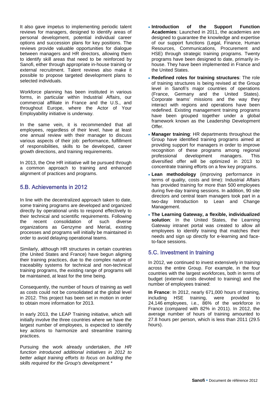It also gave impetus to implementing periodic talent reviews for managers, designed to identify areas of personal development, potential individual career options and succession plans for key positions. The reviews provide valuable opportunities for dialogue between managers and HR directors, allowing them to identify skill areas that need to be reinforced by Sanofi, either through appropriate in-house training or external recruitment. Talent reviews also make it possible to propose targeted development plans to selected individuals.

Workforce planning has been instituted in various forms, in particular within Industrial Affairs, our commercial affiliate in France and the U.S., and throughout Europe, where the Actor of Your Employability initiative is underway.

In the same vein, it is recommended that all employees, regardless of their level, have at least one annual review with their manager to discuss various aspects of their job: performance, fulfillment of responsibilities, skills to be developed, career growth directions, and training requirements.

In 2013, the One HR initiative will be pursued through a common approach to training and enhanced alignment of practices and programs.

# 5.B. Achievements in 2012

In line with the decentralized approach taken to date, some training programs are developed and organized directly by operational units to respond effectively to their technical and scientific requirements. Following the recent consolidation of such diverse organizations as Genzyme and Merial, existing processes and programs will initially be maintained in order to avoid delaying operational teams.

Similarly, although HR structures in certain countries (the United States and France) have begun aligning their training practices, due to the complex nature of traceability systems for technical and non-technical training programs, the existing range of programs will be maintained, at least for the time being.

Consequently, the number of hours of training as well as costs could not be consolidated at the global level in 2012. This project has been set in motion in order to obtain more information for 2013.

In early 2013, the LEAP Training initiative, which will initially involve the three countries where we have the largest number of employees, is expected to identify key actions to harmonize and streamline training practices.

Pursuing the work already undertaken, *the HR function introduced additional initiatives in 2012 to better adapt training efforts to focus on building the skills required for the Group's development.\**

- **Introduction of the Support Function Academies**: Launched in 2011, the academies are designed to guarantee the knowledge and expertise of our support functions (Legal, Finance, Human Resources, Communications, Procurement and HSE) through strategic training programs. Twenty programs have been designed to date, primarily inhouse. They have been implemented in France and the United States.
- **Redefined roles for training structures**: The role of training structures is being revised at the Group level in Sanofi's major countries of operations (France, Germany and the United States). Corporate teams' missions and the way they interact with regions and operations have been redefined. Existing management training programs have been grouped together under a global framework known as the Leadership Development **Offer**
- **Manager training**: HR departments throughout the Group have identified training programs aimed at providing support for managers in order to improve recognition of these programs among regional professional development managers. This diversified offer will be optimized in 2013 to concentrate training efforts on a few key programs.
- **Lean methodology** (improving performance in terms of quality, costs and time): Industrial Affairs has provided training for more than 500 employees during five-day training sessions. In addition, 90 site directors and central team managers took part in a two-day Introduction to Lean and Change Management.
- **The Learning Gateway, a flexible, individualized solution**: In the United States, the Learning Gateway intranet portal was created to allow all employees to identify training that matches their needs and sign up directly for e-learning and faceto-face sessions.

# 5.C. Investment in training

In 2012, we continued to invest extensively in training across the entire Group. For example, in the four countries with the largest workforces, both in terms of budget (external costs devoted to training) and the number of employees trained:

**In France**: In 2012, nearly 671,000 hours of training, including HSE training, were provided to 24,146 employees, i.e., 86% of the workforce in France (compared with 82% in 2011). In 2012, the average number of hours of training amounted to 27.8 hours per person, which is less than 2011 (29.5 hours).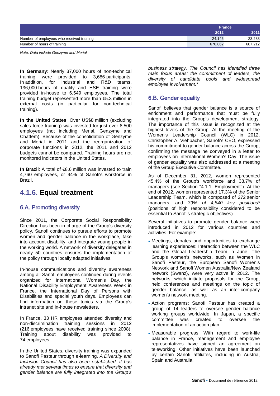|                                           |         | <b>France</b> |
|-------------------------------------------|---------|---------------|
|                                           | 2012    | 2011          |
| Number of employees who received training | 24.146  | 23,288        |
| Number of hours of training               | 670,862 | 687,212       |

*Note: Data include Genzyme and Merial.*

**In Germany**: Nearly 37,000 hours of non-technical training were provided to 3,686 participants.<br>In addition, for industrial and R&D teams. In addition, for industrial and R&D teams, 136,000 hours of quality and HSE training were provided in-house to 6,549 employees. The total training budget represented more than €5.3 million in external costs (in particular for non-technical training).

**In the United States**: Over US\$8 million (excluding sales force training) was invested for just over 8,500 employees (not including Merial, Genzyme and Chattem). Because of the consolidation of Genzyme and Merial in 2011 and the reorganization of corporate functions in 2012, the 2011 and 2012 budgets cannot be compared. Training hours are not monitored indicators in the United States.

**In Brazil**: A total of €8.6 million was invested to train 4,760 employees, or 94% of Sanofi's workforce in Brazil.

# **4.1.6. Equal treatment**

# 6.A. Promoting diversity

Since 2011, the Corporate Social Responsibility Direction has been in charge of the Group's diversity policy. Sanofi continues to pursue efforts to promote women and gender balance in the workplace, take into account disability, and integrate young people in the working world. A network of diversity delegates in nearly 50 countries ensures the implementation of the policy through locally adapted initiatives.

In-house communications and diversity awareness among all Sanofi employees continued during events organized for International Women's Day, the National Disability Employment Awareness Week in France, the International Day of Persons with Disabilities and special youth days. Employees can find information on these topics via the Group's intranet site and in-house newsletters.

In France, 33 HR employees attended diversity and non-discrimination training sessions in 2012 (216 employees have received training since 2008). Training about disability was provided to 74 employees.

In the United States, diversity training was expanded to Sanofi Pasteur through e-learning. *A Diversity and Inclusion Council has also been established. It has already met several times to ensure that diversity and gender balance are fully integrated into the Group's*  *business strategy. The Council has identified three main focus areas: the commitment of leaders, the diversity of candidate pools and widespread employee involvement.\** 

# 6.B. Gender equality

Sanofi believes that gender balance is a source of enrichment and performance that must be fully integrated into the Group's development strategy. The importance of this issue is recognized at the highest levels of the Group. At the meeting of the Women's Leadership Council (WLC) in 2012, Christopher A. Viehbacher, Sanofi's CEO, expressed his commitment to gender balance across the Group, confirming the message he conveyed in a letter to employees on International Women's Day. The issue of gender equality was also addressed at a meeting of the Group Executive Committee.

As of December 31, 2012, women represented 45.4% of the Group's workforce and 38.7% of managers (see Section "4.1.1. Employment"). At the end of 2012, women represented 17.3% of the Senior Leadership Team, which is composed of 272 senior managers, and *39% of 4,840 key positions\**  (positions of high responsibility considered to be essential to Sanofi's strategic objectives).

Several initiatives to promote gender balance were introduced in 2012 for various countries and activities. For example:

- Meetings, debates and opportunities to exchange learning experiences: Interaction between the WLC and the Global Leadership Team in June. The Group's women's networks, such as Women in Sanofi Pasteur, the European Sanofi Women's Network and Sanofi Women Australia/New Zealand network (Swanz), were very active in 2012. The networks, which initiate proposals for the Group, held conferences and meetings on the topic of gender balance, as well as an inter-company women's network meeting.
- Action programs: Sanofi Pasteur has created a group of 14 leaders to oversee gender balance working groups worldwide. In Japan, a specific committee was created to oversee the implementation of an action plan.
- Measurable progress: With regard to work-life balance in France, management and employee representatives have signed an agreement on teleworking. Other initiatives have been launched by certain Sanofi affiliates, including in Austria, Spain and Australia.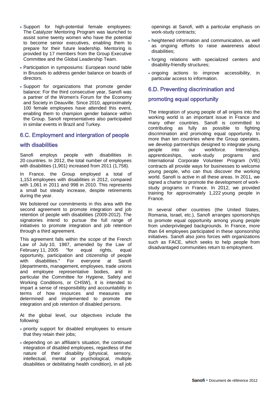- Support for high-potential female employees: The Catalyzer Mentoring Program was launched to assist some twenty women who have the potential to become senior executives, enabling them to prepare for their future leadership. Mentoring is provided by 17 members from the Group Executive Committee and the Global Leadership Team.
- Participation in symposiums: European round table in Brussels to address gender balance on boards of directors.
- Support for organizations that promote gender balance: For the third consecutive year, Sanofi was a partner of the Women's Forum for the Economy and Society in Deauville. Since 2010, approximately 100 female employees have attended this event, enabling them to champion gender balance within the Group. Sanofi representatives also participated in similar events in Brazil and Turkey.

## 6.C. Employment and intergration of people

#### with disabilities

Sanofi employs people with disabilities in 20 countries. In 2012, the total number of employees with disabilities (1,901) increased from 2011 (1,758).

In France, the Group employed a total of 1,153 employees with disabilities in 2012, compared with 1,061 in 2011 and 998 in 2010. This represents a small but steady increase, despite retirements during the year.

We bolstered our commitments in this area with the second agreement to promote integration and job retention of people with disabilities (2009-2012). The signatories intend to pursue the full range of initiatives to promote integration and job retention through a third agreement.

This agreement falls within the scope of the French Law of July 10, 1987, amended by the Law of<br>February 11, 2005 "for equal rights, equal February 11, 2005 "for equal rights, equal opportunity, participation and citizenship of people with disabilities." For everyone at Sanofi (departments, management, employees, trade unions and employee representative bodies, and in particular the Committee for Hygiene, Safety and Working Conditions, or CHSW), it is intended to impart a sense of responsibility and accountability in terms of how resources and measures are determined and implemented to promote the integration and job retention of disabled persons.

At the global level, our objectives include the following:

- priority support for disabled employees to ensure that they retain their jobs;
- depending on an affiliate's situation, the continued integration of disabled employees, regardless of the nature of their disability (physical, sensory, intellectual, mental or psychological, multiple disabilities or debilitating health condition), in all job

openings at Sanofi, with a particular emphasis on work-study contracts;

- heightened information and communication, as well as ongoing efforts to raise awareness about disabilities;
- forging relations with specialized centers and disability-friendly structures;
- ongoing actions to improve accessibility, in particular access to information.

## 6.D. Preventing discrimination and

## promoting equal opportunity

The integration of young people of all origins into the working world is an important issue in France and many other countries. Sanofi is committed to contributing as fully as possible to fighting discrimination and promoting equal opportunity. In more than ten countries where the Group operates, we develop partnerships designed to integrate young people into our workforce. Internships, apprenticeships, work-study programs and International Corporate Volunteer Program (VIE) contracts all provide ways for businesses to welcome young people, who can thus discover the working world. Sanofi is active in all these areas. In 2011, we signed a charter to promote the development of workstudy programs in France. In 2012, we provided training for approximately 1,222 young people in France.

In several other countries (the United States, Romania, Israel, etc.), Sanofi arranges sponsorships to promote equal opportunity among young people from underprivileged backgrounds. In France, more than 64 employees participated in these sponsorship initiatives. Sanofi also joins forces with organizations such as FACE, which seeks to help people from disadvantaged communities return to employment.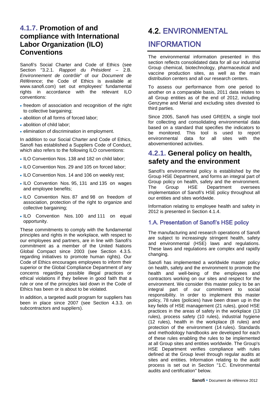# **4.1.7. Promotion of and compliance with International Labor Organization (ILO) Conventions**

Sanofi's Social Charter and Code of Ethics (see Section "3.2.1. *Rapport du Président* – 2.B. *Environnement de contrôle*" of our *Document de Référence*; the Code of Ethics is available at www.sanofi.com) set out employees' fundamental rights in accordance with the relevant ILO conventions:

- freedom of association and recognition of the right to collective bargaining;
- abolition of all forms of forced labor:
- abolition of child labor;
- elimination of discrimination in employment.

In addition to our Social Charter and Code of Ethics, Sanofi has established a Suppliers Code of Conduct, which also refers to the following ILO conventions:

- ILO Convention Nos. 138 and 182 on child labor;
- ILO Convention Nos. 29 and 105 on forced labor;
- ILO Convention Nos. 14 and 106 on weekly rest;
- ILO Convention Nos. 95, 131 and 135 on wages and employee benefits;
- ILO Convention Nos. 87 and 98 on freedom of association, protection of the right to organize and collective bargaining;
- ILO Convention Nos. 100 and 111 on equal opportunity.

These commitments to comply with the fundamental principles and rights in the workplace, with respect to our employees and partners, are in line with Sanofi's commitment as a member of the United Nations Global Compact since 2003 (see Section 4.3.5. regarding initiatives to promote human rights). Our Code of Ethics encourages employees to inform their superior or the Global Compliance Department of any concerns regarding possible illegal practices or ethical violations if they believe in good faith that a rule or one of the principles laid down in the Code of Ethics has been or is about to be violated.

In addition, a targeted audit program for suppliers has been in place since 2007 (see Section 4.3.3. on subcontractors and suppliers).

# <span id="page-18-0"></span>4.2. ENVIRONMENTAL

# INFORMATION

The environmental information presented in this section reflects consolidated data for all our industrial Group chemical, biotechnology, pharmaceutical and vaccine production sites, as well as the main distribution centers and all our research centers.

To assess our performance from one period to another on a comparable basis, 2011 data relates to all Group entities as of the end of 2012, including Genzyme and Merial and excluding sites divested to third parties.

Since 2005, Sanofi has used GREEN, a single tool for collecting and consolidating environmental data based on a standard that specifies the indicators to be monitored. This tool is used to report environmental data for all sites with the abovementioned activities.

# **4.2.1. General policy on health, safety and the environment**

Sanofi's environmental policy is established by the Group HSE Department, and forms an integral part of Group policy on health, safety and the environment. The Group HSE Department oversees implementation of Sanofi's HSE policy throughout all our entities and sites worldwide.

Information relating to employee health and safety in 2012 is presented in Section 4.1.4.

# 1.A. Presentation of Sanofi's HSE policy

The manufacturing and research operations of Sanofi are subject to increasingly stringent health, safety and environmental (HSE) laws and regulations. These laws and regulations are complex and rapidly changing.

Sanofi has implemented a worldwide master policy on health, safety and the environment to promote the health and well-being of the employees and contractors working on our sites and respect for the environment. We consider this master policy to be an integral part of our commitment to social responsibility. In order to implement this master policy, 78 rules (policies) have been drawn up in the key fields of HSE management (21 rules), good HSE practices in the areas of safety in the workplace (13 rules), process safety (10 rules), industrial hygiene (12 rules), health in the workplace (8 rules) and protection of the environment (14 rules). Standards and methodology handbooks are developed for each of these rules enabling the rules to be implemented at all Group sites and entities worldwide. The Group's HSE Department verifies compliance with rules defined at the Group level through regular audits at sites and entities. Information relating to the audit process is set out in Section "1.C. Environmental audits and certification" below.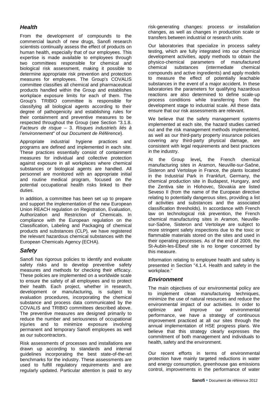# *Health*

From the development of compounds to the commercial launch of new drugs, Sanofi research scientists continually assess the effect of products on human health, especially that of our employees. This expertise is made available to employees through two committees responsible for chemical and biological risk assessment, making it possible to determine appropriate risk prevention and protection measures for employees. The Group's COVALIS committee classifies all chemical and pharmaceutical products handled within the Group and establishes workplace exposure limits for each of them. The Group's TRIBIO committee is responsible for classifying all biological agents according to their degree of pathogenicity and establishing rules for their containment and preventive measures to be respected throughout the Group (see Section "3.1.8. *Facteurs de risque* – 3. *Risques industriels liés à l'environnement*" of our *Document de Référence*).

Appropriate industrial hygiene practices and programs are defined and implemented in each site. These practices essentially consist of containment measures for individual and collective protection against exposure in all workplaces where chemical substances or biological agents are handled. All personnel are monitored with an appropriate initial and routine medical program, focused on the potential occupational health risks linked to their duties.

In addition, a committee has been set up to prepare and support the implementation of the new European Union REACH regulation on Registration, Evaluation, Authorization and Restriction of Chemicals. In compliance with the European regulation on the Classification, Labeling and Packaging of chemical products and substances (CLP)*,* we have registered the relevant hazardous chemical substances with the European Chemicals Agency (ECHA).

# *Safety*

Sanofi has rigorous policies to identify and evaluate safety risks and to develop preventive safety measures and methods for checking their efficacy. These policies are implemented on a worldwide scale to ensure the safety of all employees and to protect their health. Each project, whether in research, development or manufacturing, is subject to evaluation procedures, incorporating the chemical substance and process data communicated by the COVALIS and TRIBIO committees described above. The preventive measures are designed primarily to reduce the number and seriousness of occupational injuries and to minimize exposure involving permanent and temporary Sanofi employees as well as our subcontractors.

Risk assessments of processes and installations are drawn up according to standards and internal guidelines incorporating the best state-of-the-art benchmarks for the industry. These assessments are used to fulfill regulatory requirements and are regularly updated. Particular attention is paid to any

risk-generating changes: process or installation changes, as well as changes in production scale or transfers between industrial or research units.

Our laboratories that specialize in process safety testing, which are fully integrated into our chemical development activities, apply methods to obtain the physico-chemical parameters of manufactured chemical substances (intermediate chemical compounds and active ingredients) and apply models to measure the effect of potentially leachable substances in the event of a major accident. In these laboratories the parameters for qualifying hazardous reactions are also determined to define scale-up process conditions while transferring from the development stage to industrial scale. All these data ensure that our risk assessments are relevant.

We believe that the safety management systems implemented at each site, the hazard studies carried out and the risk management methods implemented, as well as our third-party property insurance policies covering any third-party physical damage, are consistent with legal requirements and best practices in the industry.

At the Group level**,** the French chemical manufacturing sites in Aramon, Neuville-sur-Saône, Sisteron and Vertolaye in France, the plants located in the Industrial Park in Frankfurt, Germany, the chemical production site in Budapest, Hungary, and the Zentiva site in Hlohovec, Slovakia are listed Seveso II (from the name of the European directive relating to potentially dangerous sites, providing a list of activities and substances and the associated classification thresholds). In accordance with French law on technological risk prevention, the French chemical manufacturing sites in Aramon, Neuvillesur-Saône, Sisteron and Vertolaye are subject to more stringent safety inspections due to the toxic or flammable materials stored on the sites and used in their operating processes. As of the end of 2009, the St-Aubin-les-Elbeuf site is no longer concerned by this measure.

Information relating to employee health and safety is presented in Section "4.1.4. Health and safety in the workplace."

# *Environment*

The main objectives of our environmental policy are to implement clean manufacturing techniques, minimize the use of natural resources and reduce the environmental impact of our activities. In order to optimize and improve our environmental performance, we have a strategy of continuous improvement practiced at all our sites through the annual implementation of HSE progress plans. We believe that this strategy clearly expresses the commitment of both management and individuals to health, safety and the environment.

Our recent efforts in terms of environmental protection have mainly targeted reductions in water and energy consumption, greenhouse gas emissions control, improvements in the performance of water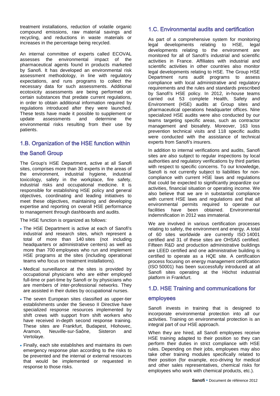treatment installations, reduction of volatile organic compound emissions, raw material savings and recycling, and reductions in waste materials or increases in the percentage being recycled.

An internal committee of experts called ECOVAL assesses the environmental impact of the pharmaceutical agents found in products marketed by Sanofi. It has developed an environmental risk assessment methodology, in line with regulatory expectations, and runs programs to collect the necessary data for such assessments. Additional ecotoxicity assessments are being performed on certain substances that predate current regulations, in order to obtain additional information required by regulations introduced after they were launched. These tests have made it possible to supplement or update assessments and determine the environmental risks resulting from their use by patients.

# 1.B. Organization of the HSE function within

## the Sanofi Group

The Group's HSE Department, active at all Sanofi sites, comprises more than 30 experts in the areas of the environment, industrial hygiene, industrial toxicology, safety in the workplace, fire safety, industrial risks and occupational medicine. It is responsible for establishing HSE policy and general objectives, coordinating and leading initiatives to meet these objectives, maintaining and developing expertise and reporting on overall HSE performance to management through dashboards and audits.

The HSE function is organized as follows:

- The HSE Department is active at each of Sanofi's industrial and research sites, which represent a total of more than 140 sites (not including headquarters or administrative centers) as well as more than 700 employees who run and implement HSE programs at the sites (including operational teams who focus on treatment installations).
- Medical surveillance at the sites is provided by occupational physicians who are either employed full-time or part-time by Sanofi or by physicians who are members of inter-professional networks. They are assisted in their duties by occupational nurses.
- The seven European sites classified as upper-tier establishments under the Seveso II Directive have specialized response resources implemented by shift crews with support from shift workers who have received in-depth second response training. These sites are Frankfurt, Budapest, Hlohovec, Neuville-sur-Saône, Sisteron and Vertolaye.
- Finally, each site establishes and maintains its own emergency response plan according to the risks to be prevented and the internal or external resources that would be implemented or requested in response to those risks.

# 1.C. Environmental audits and certification

As part of a comprehensive system for monitoring legal developments relating to HSE, legal developments relating to the environment are monitored for all of Sanofi's industrial and scientific activities in France. Affiliates with industrial and scientific activities in other countries also monitor legal developments relating to HSE. The Group HSE Department runs audit programs to assess compliance with local administrative and regulatory requirements and the rules and standards prescribed by Sanofi's HSE policy. In 2012, in-house teams carried out 53 complete Health, Safety and Environment (HSE) audits at Group sites and pharmaceutical operations headquarter offices. Nine specialized HSE audits were also conducted by our teams targeting specific areas, such as contractor management and biosafety. Moreover, 163 loss prevention technical visits and 118 specific audits were conducted with the assistance of technical experts from Sanofi's insurers.

In addition to internal verifications and audits, Sanofi sites are also subject to regular inspections by local authorities and regulatory verifications by third parties with respect to specific concerns. To our knowledge, Sanofi is not currently subject to liabilities for noncompliance with current HSE laws and regulations that could be expected to significantly jeopardize our activities, financial situation or operating income. We also believe that we are in substantial compliance with current HSE laws and regulations and that all environmental permits required to operate our facilities have been obtained. Environmental indemnification in 2012 was immaterial.

We are involved in various certification processes relating to safety, the environment and energy. A total of 60 sites worldwide are currently ISO 14001 certified and 31 of these sites are OHSAS certified. Fifteen R&D and production administrative buildings are LEED certified and one administrative building is certified to operate as a HQE site. A certification process focusing on energy management certification (ISO 50001) has been successfully introduced at all Sanofi sites operating at the Höchst industrial platform in Frankfurt.

# 1.D. HSE Training and communications for

#### employees

Sanofi invests in training that is designed to incorporate environmental protection into all our activities. Training on environmental protection is an integral part of our HSE approach.

When they are hired, all Sanofi employees receive HSE training adapted to their position so they can perform their duties in strict compliance with HSE rules. Depending on their jobs, employees may also take other training modules specifically related to their position (for example, eco-driving for medical and other sales representatives, chemical risks for employees who work with chemical products, etc.).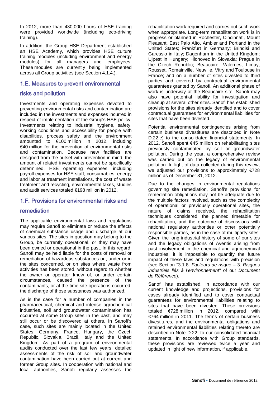In 2012, more than 430,000 hours of HSE training were provided worldwide (including eco-driving training).

In addition, the Group HSE Department established an HSE Academy, which provides HSE culture training modules (including environment and energy modules) for all managers and employees. These modules are currently being implemented across all Group activities (see Section 4.1.4.).

#### 1.E. Measures to prevent environmental

#### risks and pollution

Investments and operating expenses devoted to preventing environmental risks and contamination are included in the investments and expenses incurred in respect of implementation of the Group's HSE policy. Investments relating to industrial hygiene, safety, working conditions and accessibility for people with disabilities, process safety and the environment amounted to €100 million in 2012, including €40 million for the prevention of environmental risks and contamination. Because new facilities are designed from the outset with prevention in mind, the amount of related investments cannot be specifically determined. HSE operating expenses, including payroll expenses for HSE staff, consumables, energy and labor at treatment installations, the cost of waste treatment and recycling, environmental taxes, studies and audit services totaled €198 million in 2012.

#### 1.F. Provisions for environmental risks and

#### remediation

The applicable environmental laws and regulations may require Sanofi to eliminate or reduce the effects of chemical substance usage and discharge at our various sites. The sites in question may belong to the Group, be currently operational, or they may have been owned or operational in the past. In this regard, Sanofi may be held liable for the costs of removal or remediation of hazardous substances on, under or in the sites concerned, or on sites where waste from activities has been stored, without regard to whether the owner or operator knew of, or under certain circumstances, caused the presence of the contaminants, or at the time site operations occurred, the discharge of those substances was authorized.

As is the case for a number of companies in the pharmaceutical, chemical and intense agrochemical industries, soil and groundwater contamination has occurred at some Group sites in the past, and may still occur or be discovered at others. In Sanofi's case, such sites are mainly located in the United States, Germany, France, Hungary, the Czech Republic, Slovakia, Brazil, Italy and the United Kingdom. As part of a program of environmental audits conducted over the last few years, detailed assessments of the risk of soil and groundwater contamination have been carried out at current and former Group sites. In cooperation with national and local authorities, Sanofi regularly assesses the

rehabilitation work required and carries out such work when appropriate. Long-term rehabilitation work is in progress or planned in Rochester, Cincinnati, Mount Pleasant, East Palo Alto, Ambler and Portland in the United States; Frankfurt in Germany; Brindisi and Garessio in Italy; Dagenham in the United Kingdom; Ujpest in Hungary; Hlohovec in Slovakia; Prague in the Czech Republic; Beaucaire, Valernes, Limay, Rousset, Romainville, Neuville, Vitry and Toulouse in France; and on a number of sites divested to third parties and covered by contractual environmental guarantees granted by Sanofi. An additional phase of work is underway at the Beaucaire site. Sanofi may also have potential liability for investigation and cleanup at several other sites. Sanofi has established provisions for the sites already identified and to cover contractual guarantees for environmental liabilities for sites that have been divested.

Potential environmental contingencies arising from certain business divestitures are described in Note D.22.e) to the consolidated financial statements. In 2012, Sanofi spent €45 million on rehabilitating sites previously contaminated by soil or groundwater pollution. During the year, a comprehensive review was carried out on the legacy of environmental pollution. In light of data collected during this review, we adjusted our provisions to approximately €728 million as of December 31, 2012.

Due to the changes in environmental regulations governing site remediation, Sanofi's provisions for remediation obligations may not be adequate due to the multiple factors involved, such as the complexity of operational or previously operational sites, the nature of claims received, the rehabilitation techniques considered, the planned timetable for rehabilitation, and the outcome of discussions with national regulatory authorities or other potentially responsible parties, as in the case of multiparty sites. Given the long industrial history of some of our sites and the legacy obligations of Aventis arising from past involvement in the chemical and agrochemical industries, it is impossible to quantify the future impact of these laws and regulations with precision (see Section "3.1.8. *Facteurs de risque* – 3. *Risques industriels liés à l'environnement*" of our *Document de Référence*).

Sanofi has established, in accordance with our current knowledge and projections, provisions for cases already identified and to cover contractual guarantees for environmental liabilities relating to sites that have been divested. These provisions totaled €728 million in 2012, compared with €764 million in 2011. The terms of certain business divestitures, and the environmental obligations and retained environmental liabilities relating thereto are described in Note D.22. to our consolidated financial statements. In accordance with Group standards, these provisions are reviewed twice a year and updated in light of new information, if applicable.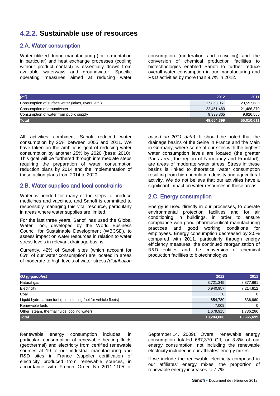# **4.2.2. Sustainable use of resources**

### 2.A. Water consumption

Water utilized during manufacturing (for fermentation in particular) and heat exchange processes (cooling without product contact) is essentially drawn from available waterways and groundwater. Specific operating measures aimed at reducing water

consumption (moderation and recycling) and the conversion of chemical production facilities to biotechnologies enabled Sanofi to further reduce overall water consumption in our manufacturing and R&D activities by more than 9.7% in 2012.

| $(m^3)$                                            | 2012       | 2011       |
|----------------------------------------------------|------------|------------|
| Consumption of surface water (lakes, rivers, etc.) | 17.863.051 | 23,597,685 |
| Consumption of groundwater                         | 22.451.483 | 21.486.370 |
| Consumption of water from public supply            | 9.339.865  | 9,926,556  |
| <b>Total</b>                                       | 49,654,399 | 55,010,611 |

All activities combined, Sanofi reduced water consumption by 25% between 2005 and 2011. We have taken on the ambitious goal of reducing water consumption by another 25% by 2020 (base: 2010). This goal will be furthered through intermediate steps requiring the preparation of water consumption reduction plans by 2014 and the implementation of these action plans from 2014 to 2020.

#### 2.B. Water supplies and local constraints

Water is needed for many of the steps to produce medicines and vaccines, and Sanofi is committed to responsibly managing this vital resource, particularly in areas where water supplies are limited.

For the last three years, Sanofi has used the Global Water Tool, developed by the World Business Council for Sustainable Development (WBCSD), to assess impact on water resources in relation to water stress levels in relevant drainage basins.

Currently, 42% of Sanofi sites (which account for 65% of our water consumption) are located in areas of moderate to high levels of water stress *(distribution* 

*based on 2011 data).* It should be noted that the drainage basins of the Seine in France and the Main in Germany, where some of our sites with the highest water consumption levels are located (the greater Paris area, the region of Normandy and Frankfurt), are areas of moderate water stress. Stress in these basins is linked to theoretical water consumption resulting from high population density and agricultural activity. We do not believe that our activities have a significant impact on water resources in these areas.

#### 2.C. Energy consumption

Energy is used directly in our processes, to operate environmental protection facilities and for air conditioning in buildings, in order to ensure compliance with good pharmaceutical manufacturing practices and good working conditions for employees. Energy consumption decreased by 2.5% compared with 2011, particularly through energy efficiency measures, the continued reorganization of R&D entities and the conversion of chemical production facilities to biotechnologies.

| GJ (gigajoules)                                                 | 2012       | 2011       |
|-----------------------------------------------------------------|------------|------------|
| Natural gas                                                     | 8,721,345  | 8,877,661  |
| Electricity                                                     | 6,940,957  | 7,214,812  |
| Coal                                                            |            |            |
| Liquid hydrocarbon fuel (not including fuel for vehicle fleets) | 854,780    | 836,960    |
| Renewable fuels                                                 | 7.009      |            |
| Other (steam, thermal fluids, cooling water)                    | 1,679,915  | 1,736,266  |
| <b>Total</b>                                                    | 18,204,006 | 18,665,699 |

Renewable energy consumption includes, in particular, consumption of renewable heating fluids (geothermal) and electricity from certified renewable sources at 19 of our industrial manufacturing and R&D sites in France (supplier certification of electricity produced from renewable sources, in accordance with French Order No. 2011-1105 of

September 14, 2009). Overall renewable energy consumption totaled 687,370 GJ, or 3.8% of our energy consumption, not including the renewable electricity included in our affiliates' energy mixes.

If we include the renewable electricity comprised in our affiliates' energy mixes, the proportion of renewable energy increases to 7.7%.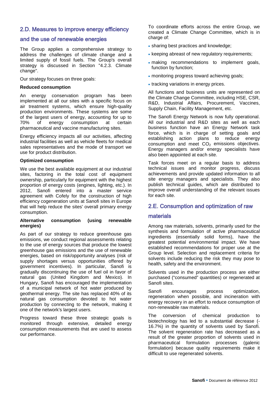# 2.D. Measures to improve energy efficiency

#### and the use of renewable energies

The Group applies a comprehensive strategy to address the challenges of climate change and a limited supply of fossil fuels. The Group's overall strategy is discussed in Section "4.2.3. Climate change".

Our strategy focuses on three goals:

#### **Reduced consumption**

An energy conservation program has been implemented at all our sites with a specific focus on air treatment systems, which ensure high-quality production environments. These systems are some of the largest users of energy, accounting for up to 70% of energy consumption at certain pharmaceutical and vaccine manufacturing sites.

Energy efficiency impacts all our activities, affecting industrial facilities as well as vehicle fleets for medical sales representatives and the mode of transport we use for product distribution.

#### **Optimized consumption**

We use the best available equipment at our industrial sites, factoring in the total cost of equipment ownership, particularly for equipment with the highest proportion of energy costs (engines, lighting, etc.). In 2012, Sanofi entered into a master service agreement with Cofely for the construction of high efficiency cogeneration units at Sanofi sites in Europe that will help reduce the sites' overall primary energy consumption.

#### **Alternative consumption (using renewable energies)**

As part of our strategy to reduce greenhouse gas emissions, we conduct regional assessments relating to the use of energy sources that produce the lowest greenhouse gas emissions and the use of renewable energies, based on risk/opportunity analyses (risk of supply shortages versus opportunities offered by government incentives). In particular, Sanofi is gradually discontinuing the use of fuel oil in favor of natural gas (United Kingdom and Mexico). In Hungary, Sanofi has encouraged the implementation of a municipal network of hot water produced by geothermal energy. The site has replaced 40% of its natural gas consumption devoted to hot water production by connecting to the network, making it one of the network's largest users.

Progress toward these three strategic goals is monitored through extensive, detailed energy consumption measurements that are used to assess our performance.

To coordinate efforts across the entire Group, we created a Climate Change Committee, which is in charge of:

- sharing best practices and knowledge;
- keeping abreast of new regulatory requirements;
- making recommendations to implement goals, function by function;
- monitoring progress toward achieving goals;
- tracking variations in energy prices.

All functions and business units are represented on the Climate Change Committee, including HSE, CSR, R&D, Industrial Affairs, Procurement, Vaccines, Supply Chain, Facility Management, etc.

The Sanofi Energy Network is now fully operational. All our industrial and R&D sites as well as each business function have an Energy Network task force, which is in charge of setting goals and establishing action plans to reduce energy consumption and meet  $CO<sub>2</sub>$  emissions objectives. Energy managers and/or energy specialists have also been appointed at each site.

Task forces meet on a regular basis to address technical issues and monitor progress, discuss achievements and provide updated information to all site energy managers and specialists. They also publish technical guides, which are distributed to improve overall understanding of the relevant issues for each site.

#### 2.E. Consumption and optimization of raw

#### materials

Among raw materials, solvents, primarily used for the synthesis and formulation of active pharmaceutical ingredients (essentially solid forms), have the greatest potential environmental impact. We have established recommendations for proper use at the Group level. Selection and replacement criteria for solvents include reducing the risk they may pose to health, safety and the environment.

Solvents used in the production process are either purchased ("consumed" quantities) or regenerated at Sanofi sites.

Sanofi encourages process optimization, regeneration when possible, and incineration with energy recovery in an effort to reduce consumption of non-renewable raw materials.

The conversion of chemical production to biotechnology has led to a substantial decrease (- 16.7%) in the quantity of solvents used by Sanofi. The solvent regeneration rate has decreased as a result of the greater proportion of solvents used in pharmaceutical formulation processes (galenic formulation) because quality requirements make it difficult to use regenerated solvents.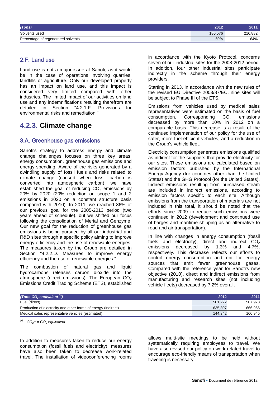| (Tons)                             | 2012    | 2011    |
|------------------------------------|---------|---------|
| Solvents used                      | 180.576 | 216,882 |
| Percentage of regenerated solvents | 60%     | 64%     |

#### 2.F. Land use

Land use is not a major issue at Sanofi, as it would be in the case of operations involving quarries, landfills or agriculture. Only our developed property has an impact on land use, and this impact is considered very limited compared with other industries. The limited impact of our activities on land use and any indemnifications resulting therefrom are<br>detailed in Section "4.2.1.F. Provisions for "4.2.1.F. Provisions for environmental risks and remediation."

# **4.2.3. Climate change**

## 3.A. Greenhouse gas emissions

Sanofi's strategy to address energy and climate change challenges focuses on three key areas: energy consumption, greenhouse gas emissions and energy spending. Aware of the risks generated by a dwindling supply of fossil fuels and risks related to climate change (caused when fossil carbon is converted into atmospheric carbon), we have established the goal of reducing  $CO<sub>2</sub>$  emissions by 20% by 2020 (20% reduction on scope 1 and 2 emissions in 2020 on a constant structure basis compared with 2010). In 2011, we reached 86% of our previous goal for the 2005-2013 period (two years ahead of schedule), but we shifted our focus following the consolidation of Merial and Genzyme. Our new goal for the reduction of greenhouse gas emissions is being pursued by all our industrial and R&D sites through a specific policy aiming to improve energy efficiency and the use of renewable energies. The measures taken by the Group are detailed in Section "4.2.2.D. Measures to improve energy efficiency and the use of renewable energies."

The combustion of natural gas and liquid hydrocarbons releases carbon dioxide into the atmosphere (direct emissions). The European CO<sub>2</sub> Emissions Credit Trading Scheme (ETS), established in accordance with the Kyoto Protocol, concerns seven of our industrial sites for the 2008-2012 period. In addition, four other industrial sites participate indirectly in the scheme through their energy providers.

Starting in 2013, in accordance with the new rules of the revised EU Directive 2003/87/EC, nine sites will be subject to Phase III of the ETS.

Emissions from vehicles used by medical sales representatives were estimated on the basis of fuel consumption. Corresponding  $CO<sub>2</sub>$  emissions consumption. Corresponding decreased by more than 10% in 2012 on a comparable basis. This decrease is a result of the continued implementation of our policy for the use of safer, more fuel-efficient vehicles, and a reduction in the Group's vehicle fleet.

Electricity consumption generates emissions qualified as indirect for the suppliers that provide electricity for our sites. These emissions are calculated based on emission factors published by the International Energy Agency (for countries other than the United States) and the GHG Protocol (for the United States). Indirect emissions resulting from purchased steam are included in indirect emissions, according to emission factors specific to each site. Although emissions from the transportation of materials are not included in this total, it should be noted that the efforts since 2009 to reduce such emissions were continued in 2012 (development and continued use of barges and maritime shipping as an alternative to road and air transportation).

In line with changes in energy consumption (fossil fuels and electricity), direct and indirect  $CO<sub>2</sub>$ <br>emissions decreased by 1.3% and 4.7%, and 4.7%. respectively. This decrease reflects our efforts to control energy consumption and opt for energy sources that emit fewer greenhouse gases. Compared with the reference year for Sanofi's new objective (2010), direct and indirect emissions from manufacturing and research sites (not including vehicle fleets) decreased by 7.2% overall.

| (Tons CO <sub>2</sub> equivalent <sup>(1)</sup> )              | 2012    | 2011    |
|----------------------------------------------------------------|---------|---------|
| Fuel (direct)                                                  | 501.222 | 507.973 |
| Production of electricity and other forms of energy (indirect) | 635.807 | 666.966 |
| Medical sales representative vehicles (estimated)              | 144.342 | 160.945 |

*(1) CO2e = CO2 equivalent*

In addition to measures taken to reduce our energy consumption (fossil fuels and electricity), measures have also been taken to decrease work-related travel. The installation of videoconferencing rooms

allows multi-site meetings to be held without systematically requiring employees to travel. We have also revised our policy on work-related travel to encourage eco-friendly means of transportation when traveling is necessary.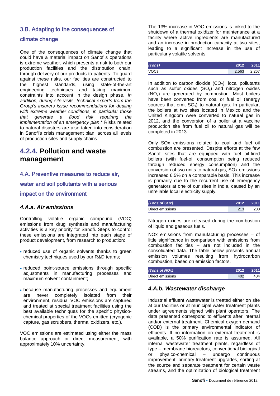# 3.B. Adapting to the consequences of

## climate change

One of the consequences of climate change that could have a material impact on Sanofi's operations is extreme weather, which presents a risk to both our production facilities and the distribution chain, through delivery of our products to patients. To guard against these risks, our facilities are constructed to the highest standards, using state-of-the-art engineering techniques and taking maximum constraints into account in the design phase. *In addition, during site visits, technical experts from the Group's insurers issue recommendations for dealing with extreme weather conditions, in particular those that generate a flood risk requiring the implementation of an emergency plan*.\* Risks related to natural disasters are also taken into consideration in Sanofi's crisis management plan, across all levels of production sites and supply chains.

# **4.2.4. Pollution and waste management**

# 4.A. Preventive measures to reduce air,

water and soil pollutants with a serious

#### impact on the environment

# *4.A.a. Air emissions*

Controlling volatile organic compound (VOC) emissions from drug synthesis and manufacturing activities is a key priority for Sanofi. Steps to control these emissions are integrated into each stage of product development, from research to production:

- reduced use of organic solvents thanks to green chemistry techniques used by our R&D teams;
- reduced point-source emissions through specific adjustments in manufacturing processes and maximum solvent containment;
- because manufacturing processes and equipment are never completely isolated from their environment, residual VOC emissions are captured and treated at special treatment facilities using the best available techniques for the specific physicochemical properties of the VOCs emitted (cryogenic capture, gas scrubbers, thermal oxidizers, etc.).

VOC emissions are estimated using either the mass balance approach or direct measurement, with approximately 10% uncertainty.

The 13% increase in VOC emissions is linked to the shutdown of a thermal oxidizer for maintenance at a facility where active ingredients are manufactured and an increase in production capacity at two sites, leading to a significant increase in the use of particularly volatile solvents.

| (Tons) | 2012  | 2011  |
|--------|-------|-------|
| VOCs   | 2,563 | 2.267 |

In addition to carbon dioxide  $(CO<sub>2</sub>)$ , local pollutants such as sulfur oxides  $(SO_x)$  and nitrogen oxides (NOx) are generated by combustion. Most boilers have been converted from coal or fuel oil (energy sources that emit  $SO_x$ ) to natural gas. In particular, the boilers at two sites located in Mexico and the United Kingdom were converted to natural gas in 2012, and the conversion of a boiler at a vaccine production site from fuel oil to natural gas will be completed in 2013.

Only SOx emissions related to coal and fuel oil combustion are presented. Despite efforts at the few Sanofi sites that are equipped with fuel oil-fired boilers (with fuel-oil consumption being reduced through reduced energy consumption) and the conversion of two units to natural gas, SOx emissions increased 6.5% on a comparable basis. This increase is primarily due to the recurrent use of emergency generators at one of our sites in India, caused by an unreliable local electricity supply.

| (Tons of SOx)    | 2012 | $\blacksquare$ 2011 |
|------------------|------|---------------------|
| Direct emissions | 213  | 200                 |

Nitrogen oxides are released during the combustion of liquid and gaseous fuels.

NOx emissions from manufacturing processes – of little significance in comparison with emissions from combustion facilities – are not included in the consolidated data. The table below presents annual emission volumes resulting from hydrocarbon combustion, based on emission factors.

| (Tons of NOx)    | 2012 | 2011 |
|------------------|------|------|
| Direct emissions |      | 404  |

# *4.A.b. Wastewater discharge*

Industrial effluent wastewater is treated either on site at our facilities or at municipal water treatment plants under agreements signed with plant operators. The data presented correspond to effluents after internal and/or external treatment. Chemical oxygen demand (COD) is the primary environmental indicator of effluents. If no information on external treatment is available, a 50% purification rate is assumed. All internal wastewater treatment plants, regardless of type – membrane bioreactors, conventional biological or physico-chemical improvement: primary treatment upgrades, sorting at the source and separate treatment for certain waste streams, and the optimization of biological treatment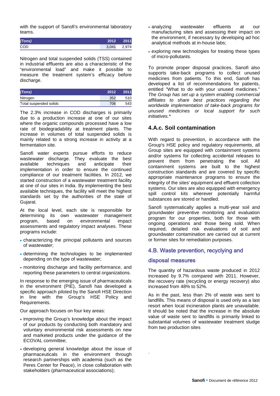with the support of Sanofi's environmental laboratory teams.

| (Tons)     | 2012  | 2011  |
|------------|-------|-------|
| <b>COD</b> | 3.041 | 2,974 |

Nitrogen and total suspended solids (TSS) contained in industrial effluents are also a characteristic of the "environmental load" and make it possible to measure the treatment system's efficacy before discharge.

| (Tons)                 | 2012 | 2011 |
|------------------------|------|------|
| Nitrogen               | 352  | 510  |
| Total suspended solids | 706  | 543  |

The 2.3% increase in COD discharges is primarily due to a production increase at one of our sites where the organic compounds processed have a low rate of biodegradability at treatment plants. The increase in volumes of total suspended solids is mainly related to a strong increase in activity at a fermentation site.

Sanofi water experts pursue efforts to reduce wastewater discharge. They evaluate the best available techniques and anticipate their implementation in order to ensure the continued compliance of our treatment facilities. In 2012, we started construction of a wastewater treatment facility at one of our sites in India. By implementing the best available techniques, the facility will meet the highest standards set by the authorities of the state of Gujarat.

At the local level, each site is responsible for determining its own wastewater management<br>program, based on environmental impact program, based on environmental impact assessments and regulatory impact analyses. These programs include:

- characterizing the principal pollutants and sources of wastewater;
- determining the technologies to be implemented depending on the type of wastewater;
- monitoring discharge and facility performance, and reporting these parameters to central organizations.

In response to the emerging issue of pharmaceuticals in the environment (PIE), Sanofi has developed a specific approach piloted by the Sanofi HSE Direction in line with the Group's HSE Policy and Requirements.

Our approach focuses on four key areas:

- improving the Group's knowledge about the impact of our products by conducting both mandatory and voluntary environmental risk assessments on new and marketed products under the guidance of the ECOVAL committee;
- developing general knowledge about the issue of pharmaceuticals in the environment through research partnerships with academia (such as the Peres Center for Peace), in close collaboration with stakeholders (pharmaceutical associations);
- analyzing wastewater effluents at our manufacturing sites and assessing their impact on the environment, if necessary by developing ad hoc analytical methods at in-house labs;
- exploring new technologies for treating these types of micro-pollutants.

To promote proper disposal practices, Sanofi also supports take-back programs to collect unused medicines from patients. To this end, Sanofi has developed a list of recommendations for patients, entitled "What to do with your unused medicines." *The Group has set up a system enabling commercial affiliates to share best practices regarding the worldwide implementation of take-back programs for unused medicines or local support for such initiatives.\**

## **4.A.c. Soil contamination**

With regard to prevention, in accordance with the Group's HSE policy and regulatory requirements, all Group sites are equipped with containment systems and/or systems for collecting accidental releases to prevent them from penetrating the soil. All containment systems are built to the highest construction standards and are covered by specific appropriate maintenance programs to ensure the integrity of the sites' equipment and effluent collection systems. Our sites are also equipped with emergency spill control kits wherever potentially harmful substances are stored or handled.

Sanofi systematically applies a multi-year soil and groundwater preventive monitoring and evaluation program for our properties, both for those with ongoing operations and those being sold. When required, detailed risk evaluations of soil and groundwater contamination are carried out at current or former sites for remediation purposes.

#### 4.B. Waste prevention, recyclying and

#### disposal measures

.

The quantity of hazardous waste produced in 2012 increased by 9.7% compared with 2011. However, the recovery rate (recycling or energy recovery) also increased from 48% to 52%.

As in the past, less than 2% of waste was sent to landfills. This means of disposal is used only as a last resort when local incineration plants are unavailable. It should be noted that the increase in the absolute value of waste sent to landfills is primarily linked to substantial volumes of wastewater treatment sludge from two production sites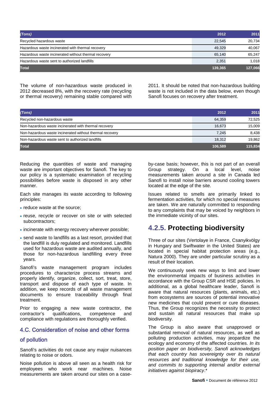| (Tons)                                               | 2012    | 2011    |
|------------------------------------------------------|---------|---------|
| Recycled hazardous waste                             | 22.545  | 20.734  |
| Hazardous waste incinerated with thermal recovery    | 49.329  | 40.067  |
| Hazardous waste incinerated without thermal recovery | 65.140  | 65.247  |
| Hazardous waste sent to authorized landfills         | 2,351   | 1.018   |
| <b>Total</b>                                         | 139,365 | 127,066 |

The volume of non-hazardous waste produced in 2012 decreased 8%, with the recovery rate (recycling or thermal recovery) remaining stable compared with

2011. It should be noted that non-hazardous building waste is not included in the data below, even though Sanofi focuses on recovery after treatment.

| (Tons)                                                   | 2012    | 2011    |
|----------------------------------------------------------|---------|---------|
| Recycled non-hazardous waste                             | 64,359  | 72,525  |
| Non-hazardous waste incinerated with thermal recovery    | 16,673  | 15,009  |
| Non-hazardous waste incinerated without thermal recovery | 7.245   | 8,438   |
| Non-hazardous waste sent to authorized landfills         | 18,312  | 19.862  |
| <b>Total</b>                                             | 106,589 | 115,834 |

Reducing the quantities of waste and managing waste are important objectives for Sanofi. The key to our policy is a systematic examination of recycling possibilities before waste is disposed in any other manner.

Each site manages its waste according to following principles:

- reduce waste at the source:
- reuse, recycle or recover on site or with selected subcontractors;
- incinerate with energy recovery wherever possible:
- send waste to landfills as a last resort, provided that the landfill is duly regulated and monitored. Landfills used for hazardous waste are audited annually, and those for non-hazardous landfilling every three years.

Sanofi's waste management program includes procedures to characterize process streams and properly identify, organize, collect, sort, treat, store, transport and dispose of each type of waste. In addition, we keep records of all waste management documents to ensure traceability through final treatment.

Prior to engaging a new waste contractor, the contractor's qualifications, competence and compliance with regulations are thoroughly verified.

## 4.C. Consideration of noise and other forms

# of pollution

Sanofi's activities do not cause any major nuisances relating to noise or odors.

Noise pollution is above all seen as a health risk for employees who work near machines. Noise measurements are taken around our sites on a caseby-case basis; however, this is not part of an overall<br>Group strategy. On a local level, noise a local measurements taken around a site in Canada led Sanofi to install noise barriers around cooling towers located at the edge of the site.

Issues related to smells are primarily linked to fermentation activities, for which no special measures are taken. We are naturally committed to responding to any complaints that may be voiced by neighbors in the immediate vicinity of our sites.

# **4.2.5. Protecting biodiversity**

Three of our sites (Vertolaye in France, Csanyikvölgy in Hungary and Swiftwater in the United States) are located in special habitat protection areas (e.g., Natura 2000). They are under particular scrutiny as a result of their location.

We continuously seek new ways to limit and lower the environmental impacts of business activities in accordance with the Group CSR and HSE policies. In additional, as a global healthcare leader, Sanofi is aware that natural resources (plants, animals, etc.) from ecosystems are sources of potential innovative new medicines that could prevent or cure diseases. Thus, the Group recognizes the necessity to protect and sustain all natural resources that make up biodiversity.

The Group is also aware that unapproved or substantial removal of natural resources, as well as polluting production activities, may jeopardize the ecology and economy of the affected countries. *In its position paper on biodiversity, Sanofi acknowledges that each country has sovereignty over its natural resources and traditional knowledge for their use, and commits to supporting internal and/or external initiatives against biopiracy*.\*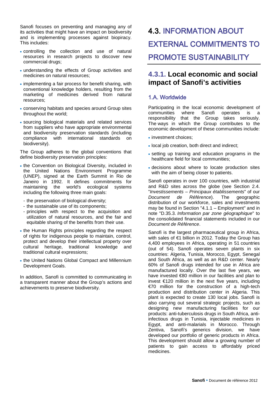Sanofi focuses on preventing and managing any of its activities that might have an impact on biodiversity and is implementing processes against biopiracy. This includes:

- controlling the collection and use of natural resources in research projects to discover new commercial drugs;
- understanding the effects of Group activities and medicines on natural resources;
- implementing a fair process for benefit sharing, with conventional knowledge holders, resulting from the marketing of medicines derived from natural resources;
- conserving habitats and species around Group sites throughout the world;
- sourcing biological materials and related services from suppliers who have appropriate environmental and biodiversity preservation standards (including compliance with international standards on biodiversity).

The Group adheres to the global conventions that define biodiversity preservation principles:

- the Convention on Biological Diversity, included in the United Nations Environment Programme (UNEP), signed at the Earth Summit in Rio de Janeiro in 1992. It defines commitments for maintaining the world's ecological systems including the following three main goals:
	- the preservation of biological diversity;
	- the sustainable use of its components;
- principles with respect to the acquisition and utilization of natural resources, and the fair and equitable sharing of the benefits from their use.
- the Human Rights principles regarding the respect of rights for indigenous people to maintain, control, protect and develop their intellectual property over cultural heritage, traditional knowledge and traditional cultural expressions;
- the United Nations Global Compact and Millennium Development Goals.

In addition, Sanofi is committed to communicating in a transparent manner about the Group's actions and achievements to preserve biodiversity.

# <span id="page-28-0"></span>4.3. INFORMATION ABOUT EXTERNAL COMMITMENTS TO PROMOTE SUSTAINABILITY

# **4.3.1. Local economic and social impact of Sanofi's activities**

# 1.A. Worldwide

Participating in the local economic development of communities where Sanofi operates is responsibility that the Group takes seriously. The ways in which the Group contributes to the economic development of these communities include:

- investment choices:
- local job creation, both direct and indirect:
- setting up training and education programs in the healthcare field for local communities;
- decisions about where to locate production sites with the aim of being closer to patients.

Sanofi operates in over 100 countries, with industrial and R&D sites across the globe (see Section 2.4. "*Investissements* – *Principaux établissements*" of our *Document de Référence*). The geographic distribution of our workforce, sales and investments may be found in Section "4.1.1 – Employment" and in note "D.35.3. *Information par zone géographique*" to the consolidated financial statements included in our *Document de Référence*.

Sanofi is the largest pharmaceutical group in Africa, with sales of €1 billion in 2012. Today the Group has 4,400 employees in Africa, operating in 51 countries (out of 54). Sanofi operates seven plants in six countries: Algeria, Tunisia, Morocco, Egypt, Senegal and South Africa, as well as an R&D center. Nearly 60% of Sanofi drugs intended for use in Africa are manufactured locally. Over the last five years, we have invested €80 million in our facilities and plan to invest €120 million in the next five years, including €70 million for the construction of a high-tech production and distribution center in Algeria. This plant is expected to create 130 local jobs. Sanofi is also carrying out several strategic projects, such as designing new manufacturing facilities for our products: anti-tuberculosis drugs in South Africa, antiinfectious drugs in Tunisia, injectable medicines in Egypt, and anti-malarials in Morocco. Through Zentiva, Sanofi's generics division, we have developed our portfolio of generic products in Africa. This development should allow a growing number of patients to gain access to affordably priced medicines.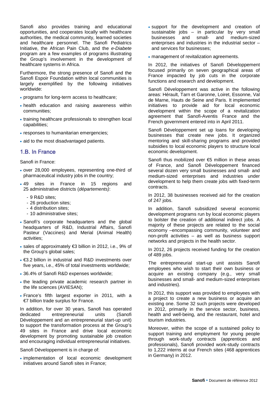Sanofi also provides training and educational opportunities, and cooperates locally with healthcare authorities, the medical community, learned societies and healthcare personnel. The Sanofi Pediatrics Initiative, the African Pain Club, and the *e-Diabete* program are a few examples of programs illustrating the Group's involvement in the development of healthcare systems in Africa.

Furthermore, the strong presence of Sanofi and the Sanofi Espoir Foundation within local communities is largely exemplified by the following initiatives worldwide:

- programs for long-term access to healthcare;
- health education and raising awareness within communities;
- training healthcare professionals to strengthen local capabilities;
- responses to humanitarian emergencies;
- aid to the most disadvantaged patients.

# 1.B. In France

Sanofi in France:

- over 28,000 employees, representing one-third of pharmaceutical industry jobs in the country;
- 49 sites in France in 15 regions and 25 administrative districts (*départements)*:
	- 9 R&D sites;
	- 26 production sites;
	- 4 distribution sites;
	- 10 administrative sites;
- Sanofi's corporate headquarters and the global headquarters of R&D, Industrial Affairs, Sanofi Pasteur (Vaccines) and Merial (Animal Health) activities;
- sales of approximately €3 billion in 2012, i.e., 9% of the Group's global sales;
- €3.2 billion in industrial and R&D investments over five years, i.e., 45% of total investments worldwide;
- 36.4% of Sanofi R&D expenses worldwide;
- the leading private academic research partner in the life sciences (AVIESAN);
- France's fifth largest exporter in 2011, with a €7 billion trade surplus for France.

In addition, for over 30 years, Sanofi has operated dedicated entrepreneurial units (Sanofi Développement and an entrepreneurial start-up unit) to support the transformation process at the Group's 49 sites in France and drive local economic development by promoting sustainable job creation and encouraging individual entrepreneurial initiatives.

Sanofi Développement is in charge of:

• implementation of local economic development initiatives around Sanofi sites in France;

- support for the development and creation of sustainable jobs – in particular by very small<br>businesses and small- and medium-sized businesses and small- and enterprises and industries in the industrial sector – and services for businesses;
- management of revitalization agreements.

In 2012, the initiatives of Sanofi Développement focused primarily on seven geographical areas of France impacted by job cuts in the corporate functions and research and development.

Sanofi Développement was active in the following areas: Hérault, Tarn et Garonne, Loiret, Essonne, Val de Marne, Hauts de Seine and Paris. It implemented initiatives to provide aid for local economic development within the scope of a revitalization agreement that Sanofi-Aventis France and the French government entered into in April 2011.

Sanofi Développement set up loans for developing businesses that create new jobs. It organized mentoring and skill-sharing programs and provided subsidies to local economic players to structure local economic development.

Sanofi thus mobilized over €5 million in these areas of France, and Sanofi Développement financed several dozen very small businesses and small- and medium-sized enterprises and industries under development to help them create jobs with fixed-term contracts.

In 2012, 38 businesses received aid for the creation of 247 jobs.

In addition, Sanofi subsidized several economic development programs run by local economic players to bolster the creation of additional indirect jobs. A majority of these projects are related to the social economy –encompassing community, volunteer and non-profit activities – as well as business support networks and projects in the health sector.

In 2012, 26 projects received funding for the creation of 489 jobs.

The entrepreneurial start-up unit assists Sanofi employees who wish to start their own business or acquire an existing company (e.g., very small businesses and small- and medium-sized enterprises and industries).

In 2012, this support was provided to employees with a project to create a new business or acquire an existing one. Some 32 such projects were developed in 2012, primarily in the service sector, business, health and well-being, and the restaurant, hotel and tourism industries.

Moreover, within the scope of a sustained policy to support training and employment for young people through work-study contracts (apprentices and professionals), Sanofi provided work-study contracts to 1,222 interns at our French sites (468 apprentices in Germany) in 2012.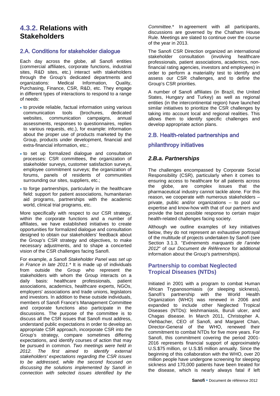# **4.3.2. Relations with Stakeholders**

# 2.A. Conditions for stakeholder dialogue

Each day across the globe, all Sanofi entities (commercial affiliates, corporate functions, industrial sites, R&D sites, etc.) interact with stakeholders through the Group's dedicated departments and organizations: Medical Information, Quality, Purchasing, Finance, CSR, R&D, etc. They engage in different types of interactions to respond to a range of needs:

- to provide reliable, factual information using various communication websites, communication campaigns, annual assessments, responses to questionnaires, replies to various requests, etc.), for example: information about the proper use of products marketed by the Group, products under development, financial and extra-financial information, etc.;
- to set up formalized dialogue and consultation processes: CSR committees, the organization of stakeholder surveys, customer satisfaction surveys, employee commitment surveys; the organization of forums, panels of residents of communities surrounding our sites, suppliers, etc.;
- to forge partnerships, particularly in the healthcare field: support for patient associations, humanitarian aid programs, partnerships with the academic world, clinical trial programs, etc.

More specifically with respect to our CSR strategy, within the corporate functions and a number of affiliates, we have established initiatives to create opportunities for formalized dialogue and consultation designed to obtain our stakeholders' feedback about the Group's CSR strategy and objectives, to make necessary adjustments, and to shape a concerted vision of the CSR challenges facing Sanofi.

For example, *a Sanofi Stakeholder Panel was set up in France in late 2011.\** It is made up of individuals from outside the Group who represent the stakeholders with whom the Group interacts on a daily basis: healthcare professionals, patient associations, academics, healthcare experts, NGOs, employers' associations and trade unions, legislators and investors. In addition to these outside individuals, members of Sanofi France's Management Committee and corporate functions also participate in the discussions. The purpose of the committee is to discuss all the CSR issues that Sanofi must address, understand public expectations in order to develop an appropriate CSR approach, incorporate CSR into the Group's strategy, compare sometimes differing expectations, and identify courses of action that may be pursued in common. *Two meetings were held in 2012. The first aimed to identify external stakeholders' expectations regarding the CSR issues to be addressed, while the second focused on discussing the solutions implemented by Sanofi in connection with selected issues identified by the* 

*Committee.*\* In agreement with all participants, discussions are governed by the Chatham House Rule. Meetings are slated to continue over the course of the year in 2013.

The Sanofi CSR Direction organized an international<br>stakeholder consultation (involving healthcare stakeholder consultation professionals, patient associations, academics, nonfinancial rating agencies, investors and employees) in order to perform a materiality test to identify and assess our CSR challenges, and to define the Group's CSR priorities.

A number of Sanofi affiliates (in Brazil, the United States, Hungary and Turkey) as well as regional entities (in the intercontinental region) have launched similar initiatives to prioritize the CSR challenges by taking into account local and regional realities. This allows them to identify specific challenges and develop appropriate action plans.

# 2.B. Health-related partnerships and

# philanthropy initiatives

# *2.B.a. Partnerships*

The challenges encompassed by Corporate Social Responsibility (CSR), particularly when it comes to ensuring access to healthcare for all patients across the globe, are complex issues that the pharmaceutical industry cannot tackle alone. For this reason, we cooperate with numerous stakeholders – private, public and/or organizations – to pool our expertise and know-how with that of our partners and provide the best possible response to certain major health-related challenges facing society.

Although we outline examples of key initiatives below, they do not represent an exhaustive portrayal of the multitude of projects undertaken by Sanofi (see Section 3.1.3. "*Evénements marquants de l'année 2012*" of our *Document de Référence* for additional information about the Group's partnerships).

# **Partnership to combat Neglected Tropical Diseases (NTDs)**

Initiated in 2001 with a program to combat Human African Trypanosomiasis (or sleeping sickness), Sanofi's partnership with the World Health Organization (WHO) was renewed in 2006 and expanded to include other Neglected Tropical Diseases (NTDs): leishmaniasis, Buruli ulcer, and Chagas disease. In March 2011, Christopher A. Viehbacher, CEO of Sanofi, and Margaret Chan, Director-General of the WHO, renewed their commitment to combat NTDs for five more years. For Sanofi, this commitment covering the period 2001- 2016 represents financial support of approximately U.S.\$75 million, or U.S.\$5 million annually. Since the beginning of this collaboration with the WHO, over 20 million people have undergone screening for sleeping sickness and 170,000 patients have been treated for the disease, which is nearly always fatal if left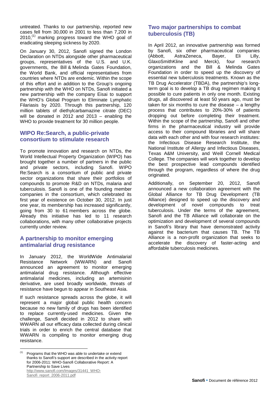untreated. Thanks to our partnership, reported new cases fell from 30,000 in 2001 to less than 7,200 in  $2010$ ,<sup>(1)</sup> marking progress toward the WHO goal of eradicating sleeping sickness by 2020.

On January 30, 2012, Sanofi signed the London Declaration on NTDs alongside other pharmaceutical groups, representatives of the U.S. and U.K. governments, the Bill & Melinda Gates Foundation, the World Bank, and official representatives from countries where NTDs are endemic. Within the scope of this effort and in addition to the Group's ongoing partnership with the WHO on NTDs, Sanofi initiated a new partnership with the company Eisai to support the WHO's Global Program to Eliminate Lymphatic Filariasis by 2020. Through this partnership, 120 million tablets of diethylcarbamazine citrate (DEC) will be donated in 2012 and 2013 – enabling the WHO to provide treatment for 30 million people.

## **WIPO Re:Search, a public-private consortium to stimulate research**

To promote innovation and research on NTDs, the World Intellectual Property Organization (WIPO) has brought together a number of partners in the public and private sectors, including Sanofi. WIPO Re:Search is a consortium of public and private sector organizations that share their portfolios of compounds to promote R&D on NTDs, malaria and tuberculosis. Sanofi is one of the founding member companies in the consortium, which celebrated its first year of existence on October 30, 2012. In just one year, its membership has increased significantly, going from 30 to 61 members across the globe. Already this initiative has led to 11 research collaborations, with many other collaborative projects currently under review.

## **A partnership to monitor emerging antimalarial drug resistance**

In January 2012, the WorldWide Antimalarial<br>Resistance Network (WWARN) and Sanofi Resistance Network (WWARN) and announced an agreement to monitor emerging antimalarial drug resistance. Although effective antimalarial medicines, including an artemisinin derivative, are used broadly worldwide, threats of resistance have begun to appear in Southeast Asia.

If such resistance spreads across the globe, it will represent a major global public health concern because no new family of drugs has been identified to replace currently-used medicines. Given the challenge, Sanofi decided in 2012 to share with WWARN all our efficacy data collected during clinical trials in order to enrich the central database that WWARN is compiling to monitor emerging drug resistance.

## **Two major partnerships to combat tuberculosis (TB)**

In April 2012, an innovative partnership was formed by Sanofi, six other pharmaceutical companies (Abbott, AstraZeneca, Bayer, Eli Lilly, GlaxoSmithKline and Merck), four research organizations and the Bill & Melinda Gates Foundation in order to speed up the discovery of essential new tuberculosis treatments. Known as the TB Drug Accelerator (TBDA), the partnership's longterm goal is to develop a TB drug regimen making it possible to cure patients in only one month. Existing drugs, all discovered at least 50 years ago, must be taken for six months to cure the disease  $-$  a lengthy process that contributes to 20%-30% of patients dropping out before completing their treatment. Within the scope of the partnership, Sanofi and other firms in the pharmaceutical industry will provide access to their compound libraries and will share data with each other and with four research institutes: the Infectious Disease Research Institute, the National Institute of Allergy and Infectious Diseases, Texas A&M University, and Weill Cornell Medical College. The companies will work together to develop the best prospective lead compounds identified through the program, regardless of where the drug originated.

Additionally, on September 20, 2012, Sanofi announced a new collaboration agreement with the Global Alliance for TB Drug Development (TB Alliance) designed to speed up the discovery and development of novel compounds to treat tuberculosis. Under the terms of the agreement, Sanofi and the TB Alliance will collaborate on the optimization and development of several compounds in Sanofi's library that have demonstrated activity against the bacterium that causes TB. The TB Alliance is a non-profit organization that seeks to accelerate the discovery of faster-acting and affordable tuberculosis medicines.

 $(1)$  Programs that the WHO was able to undertake or extend thanks to Sanofi's support are described in the activity report for 2006-2011: WHO-Sanofi Collaborative Report: A Partnership to Save Lives [http://www.sanofi.com/Images/31441\\_WHO-](http://www.sanofi.com/Images/31441_WHO-Sanofi_report_2006-2011.pdf)[Sanofi\\_report\\_2006-2011.pdf](http://www.sanofi.com/Images/31441_WHO-Sanofi_report_2006-2011.pdf)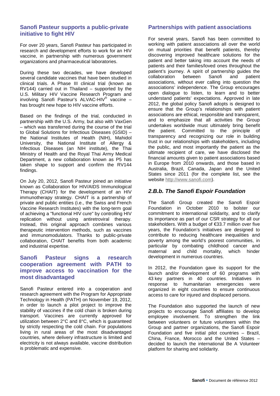#### **Sanofi Pasteur supports a public-private initiative to fight HIV**

For over 20 years, Sanofi Pasteur has participated in research and development efforts to work for an HIV vaccine, in partnership with numerous government organizations and pharmaceutical laboratories.

During these two decades, we have developed several candidate vaccines that have been studied in clinical trials. A Phase III clinical trial (known as RV144) carried out in Thailand – supported by the U.S. Military HIV Vaccine Research Program and involving Sanofi Pasteur's ALVAC-HIV® vaccine – has brought new hope to HIV vaccine efforts.

Based on the findings of the trial, conducted in partnership with the U.S. Army, but also with VaxGen – which was transferred during the course of the trial to Global Solutions for Infectious Diseases (GSID) – the National Institutes of Health (NIH), Mahidol University, the National Institute of Allergy & Infectious Diseases (an NIH institute), the Thai Ministry of Health and the Royal Thai Army Medical Department, a new collaboration known as P5 has taken shape to support and confirm the RV144 findings.

On July 20, 2012, Sanofi Pasteur joined an initiative known as Collaboration for HIV/AIDS Immunological Therapy (CHAIT) for the development of an HIV immunotherapy strategy. CHAIT is a partnership of private and public entities (i.e., the Swiss and French Vaccine Research Institutes) with the long-term goal of achieving a "functional HIV cure" by controlling HIV replication without using antiretroviral therapy. Instead, this original approach combines various therapeutic intervention methods, such as vaccines and immunomodulators. Thanks to public-private collaboration, CHAIT benefits from both academic and industrial expertise.

## **Sanofi Pasteur signs a research cooperation agreement with PATH to improve access to vaccination for the most disadvantaged**

Sanofi Pasteur entered into a cooperation and research agreement with the Program for Appropriate Technology in Health (PATH) on November 19, 2012, in order to launch a pilot project to improve the stability of vaccines if the cold chain is broken during transport. Vaccines are currently approved for utilization between 2°C and 8°C, which is guaranteed by strictly respecting the cold chain. For populations living in rural areas of the most disadvantaged countries, where delivery infrastructure is limited and electricity is not always available, vaccine distribution is problematic and expensive.

## **Partnerships with patient associations**

For several years, Sanofi has been committed to working with patient associations all over the world on mutual priorities that benefit patients, thereby discovering improved healthcare solutions for the patient and better taking into account the needs of patients and their families/loved ones throughout the patient's journey. A spirit of partnership guides the collaboration between Sanofi and patient collaboration between Sanofi and patient associations, without ever calling into question the associations' independence. The Group encourages open dialogue to listen, to learn and to better understand patients' expectations. Approved in late 2012, the global policy Sanofi adopts is designed to ensure that the Group's relationships with patient associations are ethical, responsible and transparent, and to emphasize that all activities the Group undertakes worldwide must ultimately bring benefit the patient. Committed to the principle of transparency and recognizing our role in building trust in our relationships with stakeholders, including the public, and most importantly the patient as the ultimate recipient of care, we have disclosed the financial amounts given to patient associations based in Europe from 2010 onwards, and those based in Australia, Brazil, Canada, Japan and the United States since 2011 (for the complete list, see the website [http://www.sanofi.com\)](http://www.sanofi.com/).

# *2.B.b. The Sanofi Espoir Foundation*

The Sanofi Group created the Sanofi Espoir Foundation in October 2010 to bolster our commitment to international solidarity, and to clarify its importance as part of our CSR strategy for all our stakeholders. With a budget of €33.7 million over five years, the Foundation's initiatives are designed to contribute to reducing healthcare inequalities and poverty among the world's poorest communities, in particular by combating childhood cancer and<br>maternal and child mortality, which hinder and child mortality, development in numerous countries.

In 2012, the Foundation gave its support for the launch and/or development of 60 programs with 43 key partners in 40 countries. Initiatives in response to humanitarian emergencies were organized in eight countries to ensure continuous access to care for injured and displaced persons.

The Foundation also supported the launch of new projects to encourage Sanofi affiliates to develop employee involvement. To strengthen the link between volunteers or future volunteers within the Group and partner organizations, the Sanofi Espoir Foundation and five initial pilot countries – Brazil, China, France, Morocco and the United States – decided to launch the international Be A Volunteer platform for sharing and solidarity.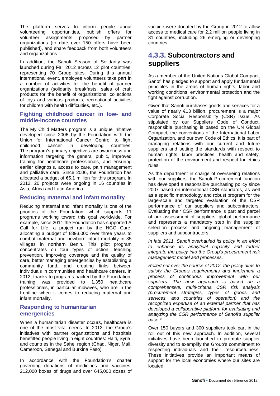The platform serves to inform people about volunteering opportunities, publish offers for volunteer assignments proposed by partner organizations (to date over 150 offers have been published), and share feedback from both volunteers and organizations.

In addition, the Sanofi Season of Solidarity was launched during Fall 2012 across 12 pilot countries, representing 70 Group sites. During this annual international event, employee volunteers take part in a number of activities for the benefit of partner organizations (solidarity breakfasts, sales of craft products for the benefit of organizations, collections of toys and various products, recreational activities for children with health difficulties, etc.).

#### **Fighting childhood cancer in low- and middle-income countries**

The My Child Matters program is a unique initiative developed since 2006 by the Foundation with the Union for International Cancer Control to fight childhood cancer in developing countries. The program's primary objectives are awareness and information targeting the general public, improved training for healthcare professionals, and ensuring earlier diagnosis, access to care, pain management and palliative care. Since 2006, the Foundation has allocated a budget of  $65.1$  million for this program. In 2012, 20 projects were ongoing in 16 countries in Asia, Africa and Latin America.

#### **Reducing maternal and infant mortality**

Reducing maternal and infant mortality is one of the priorities of the Foundation, which supports 11 programs working toward this goal worldwide. For example, since 2011 the Foundation has supported A Call for Life, a project run by the NGO Care, allocating a budget of €893,000 over three years to combat maternal and newborn infant mortality in 35 villages in northern Benin. This pilot program concentrates on four types of action: teaching prevention, improving coverage and the quality of care, better managing emergencies by establishing a community fund, and creating links between individuals in communities and healthcare centers. In 2012, thanks to programs backed by the Foundation, training was provided to 1,350 healthcare professionals, in particular midwives, who are in the frontline when it comes to reducing maternal and infant mortality.

#### **Responding to humanitarian emergencies**

When a humanitarian disaster occurs, healthcare is one of the most vital needs. In 2012, the Group's initiatives with partner organizations and hospitals benefitted people living in eight countries: Haiti, Syria, and countries in the Sahel region (Chad, Niger, Mali, Cameroon, Senegal and Burkina Faso).

In accordance with the Foundation's charter governing donations of medicines and vaccines, 212,000 boxes of drugs and over 645,000 doses of

vaccine were donated by the Group in 2012 to allow access to medical care for 2.2 million people living in 31 countries, including 26 emerging or developing countries.

# **4.3.3. Subcontractors and suppliers**

As a member of the United Nations Global Compact, Sanofi has pledged to support and apply fundamental principles in the areas of human rights, labor and working conditions, environmental protection and the fight against corruption.

Given that Sanofi purchases goods and services for a value of nearly €13 billion, procurement is a major Corporate Social Responsibility (CSR) issue. As stipulated by our Suppliers Code of Conduct, responsible purchasing is based on the UN Global Compact, the conventions of the International Labor Organization, and our own Code of Ethics. It is part of managing relations with our current and future suppliers and setting the standards with respect to human rights, labor practices, health and safety, protection of the environment and respect for ethics rules.

As the department in charge of overseeing relations with our suppliers, the Sanofi Procurement function has developed a responsible purchasing policy since 2007 based on international CSR standards, as well as a specific methodology and robust program for the large-scale and targeted evaluation of the CSR performance of our suppliers and subcontractors. Evaluating their CSR performance is part and parcel of our assessment of suppliers' global performance and represents a mandatory step in the supplier selection process and ongoing management of suppliers and subcontractors.

*In late 2011, Sanofi overhauled its policy in an effort to enhance its analytical capacity and further integrate the policy into the Group's procurement risk management model and processes.*

*Rolled out over the course of 2012, the policy aims to satisfy the Group's requirements and implement a process of continuous improvement with our suppliers. The new approach is based on a comprehensive, multi-criteria CSR risk analysis (procurement strategies, types of goods and services, and countries of operation) and the recognized expertise of an external partner that has developed a collaborative platform for evaluating and analyzing the CSR performance of Sanofi's supplier base.\**

Over 150 buyers and 300 suppliers took part in the roll out of this new approach. In addition, several initiatives have been launched to promote supplier diversity and to exemplify the Group's commitment to respecting individuals and their resourcefulness. These initiatives provide an important means of support for the local economies where our sites are located.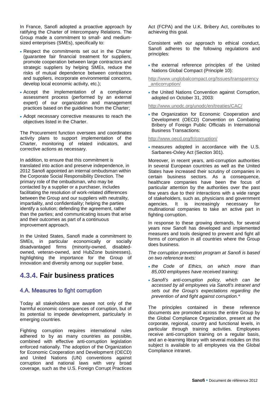In France, Sanofi adopted a proactive approach by ratifying the Charter of Intercompany Relations. The Group made a commitment to small- and mediumsized enterprises (SMEs), specifically to:

- Respect the commitments set out in the Charter (guarantee fair financial treatment for suppliers, promote cooperation between large contractors and strategic suppliers by helping SMEs, reduce the risks of mutual dependence between contractors and suppliers, incorporate environmental concerns, develop local economic activity, etc.);
- Accept the implementation of a compliance assessment process (performed by an external expert) of our organization and management practices based on the guidelines from the Charter;
- Adopt necessary corrective measures to reach the objectives listed in the Charter.

The Procurement function oversees and coordinates activity plans to support implementation of the Charter, monitoring of related indicators, and corrective actions as necessary.

In addition, to ensure that this commitment is translated into action and preserve independence, in 2012 Sanofi appointed an internal ombudsman within the Corporate Social Responsibility Direction. The primary role of the ombudsman, who may be contacted by a supplier or a purchaser, includes facilitating the resolution of work-related differences between the Group and our suppliers with neutrality, impartiality, and confidentiality; helping the parties identify a solution; defending the agreement, rather than the parties; and communicating issues that arise and their outcomes as part of a continuous improvement approach.

In the United States, Sanofi made a commitment to SMEs, in particular economically or socially disadvantaged firms (minority-owned, disabledowned, veteran-owned, and HubZone businesses), highlighting the importance for the Group of innovation and diversity among our supplier base.

# **4.3.4. Fair business pratices**

#### 4.A. Measures to fight corruption

Today all stakeholders are aware not only of the harmful economic consequences of corruption, but of its potential to impede development, particularly in emerging countries.

Fighting corruption requires international rules adhered to by as many countries as possible, combined with effective anti-corruption legislation enforced nationally. The adoption of the Organization for Economic Cooperation and Development (OECD) and United Nations (UN) conventions against corruption and national laws with very broad coverage, such as the U.S. Foreign Corrupt Practices

Act (FCPA) and the U.K. Bribery Act, contributes to achieving this goal.

Consistent with our approach to ethical conduct, Sanofi adheres to the following regulations and principles:

• the external reference principles of the United Nations Global Compact (Principle 10):

[http://www.unglobalcompact.org/Issues/transparency](http://www.unglobalcompact.org/Issues/transparency_anticorruption/) [\\_anticorruption/](http://www.unglobalcompact.org/Issues/transparency_anticorruption/)

• the United Nations Convention against Corruption, adopted on October 31, 2003:

#### <http://www.unodc.org/unodc/en/treaties/CAC/>

• the Organization for Economic Cooperation and Development (OECD) Convention on Combating Bribery of Foreign Public Officials in International Business Transactions:

#### <http://www.oecd.org/fr/corruption/>

• measures adopted in accordance with the U.S. Sarbanes-Oxley Act (Section 301).

Moreover, in recent years, anti-corruption authorities in several European countries as well as the United States have increased their scrutiny of companies in certain business sectors. As a consequence, healthcare companies have been the focus of particular attention by the authorities over the past few years due to their interactions with a wide range of stakeholders, such as, physicians and government agencies. It is increasingly necessary for multinational companies to take an active part in fighting corruption.

In response to these growing demands, for several years now Sanofi has developed and implemented measures and tools designed to prevent and fight all forms of corruption in all countries where the Group does business.

*The corruption prevention program at Sanofi is based on two reference texts:* 

- *the Code of Ethics, on which more than 85,000 employees have received training;*
- *Sanofi's anti-corruption policy, which can be accessed by all employees via Sanofi's intranet and sets out the Group's expectations regarding the prevention of and fight against corruption.\**

The principles contained in these reference documents are promoted across the entire Group by the Global Compliance Organization, present at the corporate, regional, country and functional levels, in particular through training activities. Employees receive anti-corruption training on a regular basis, and an e-learning library with several modules on this subject is available to all employees via the Global Compliance intranet.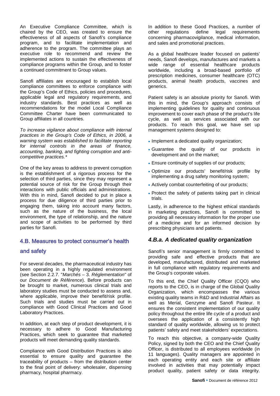An Executive Compliance Committee, which is chaired by the CEO, was created to ensure the effectiveness of all aspects of Sanofi's compliance program, and to facilitate implementation and adherence to the program. The committee plays an executive role to recommend and review the implemented actions to sustain the effectiveness of compliance programs within the Group, and to foster a continued commitment to Group values.

Sanofi affiliates are encouraged to establish local compliance committees to enforce compliance with the Group's Code of Ethics, policies and procedures, applicable legal and regulatory requirements, and industry standards. Best practices as well as recommendations for the model Local Compliance Committee Charter have been communicated to Group affiliates in all countries.

*To increase vigilance about compliance with internal practices in the Group's Code of Ethics, in 2006, a warning system was established to facilitate reporting for internal controls in the areas of finance, accounting, banking, and fighting corruption and anticompetitive practices.\**

One of the key areas to address to prevent corruption is the establishment of a rigorous process for the selection of third parties, since they may represent a potential source of risk for the Group through their interactions with public officials and administrations. With this in mind, Sanofi decided to put in place a process for due diligence of third parties prior to engaging them, taking into account many factors, such as the nature of the business, the local environment, the type of relationship, and the nature and scope of activities to be performed by third parties for Sanofi.

# 4.B. Measures to protect consumer's health

#### and safety

For several decades, the pharmaceutical industry has been operating in a highly regulated environment (see Section 2.2.7. "*Marchés* – 3. *Réglementation*" of our *Document de Référence*). Before products can be brought to market, numerous clinical trials and laboratory studies must be conducted to assess and, where applicable, improve their benefit/risk profile. Such trials and studies must be carried out in compliance with Good Clinical Practices and Good Laboratory Practices.

In addition, at each step of product development, it is necessary to adhere to Good Manufacturing Practices, which seek to guarantee that marketed products will meet demanding quality standards.

Compliance with Good Distribution Practices is also essential to ensure quality and guarantee the traceability of products – from the distribution center to the final point of delivery: wholesaler, dispensing pharmacy, hospital pharmacy.

In addition to these Good Practices, a number of other regulations define legal requirements concerning pharmacovigilance, medical information, and sales and promotional practices.

As a global healthcare leader focused on patients' needs, Sanofi develops, manufactures and markets a wide range of essential healthcare products worldwide, including a broad-based portfolio of prescription medicines, consumer healthcare (OTC) products, animal health products, vaccines and generics.

Patient safety is an absolute priority for Sanofi. With this in mind, the Group's approach consists of implementing guidelines for quality and continuous improvement to cover each phase of the product's life cycle, as well as services associated with our products. To reach this goal, we have set up management systems designed to:

- Implement a dedicated quality organization;
- Guarantee the quality of our products in development and on the market;
- Ensure continuity of supplies of our products;
- Optimize our products' benefit/risk profile by implementing a drug safety monitoring system;
- Actively combat counterfeiting of our products;
- Protect the safety of patients taking part in clinical trials.

Lastly, in adherence to the highest ethical standards in marketing practices, Sanofi is committed to providing all necessary information for the proper use of a medicine and for an informed decision by prescribing physicians and patients.

#### *4.B.a. A dedicated quality organization*

Sanofi's senior management is firmly committed to providing safe and effective products that are developed, manufactured, distributed and marketed in full compliance with regulatory requirements and the Group's corporate values.

To this end, the Chief Quality Officer (CQO) who reports to the CEO, is in charge of the Global Quality Organization, which encompasses the various existing quality teams in R&D and Industrial Affairs as well as Merial, Genzyme and Sanofi Pasteur. It ensures the consistent implementation of our quality policy throughout the entire life cycle of a product and oversees the application of a consistently high standard of quality worldwide, allowing us to protect patients' safety and meet stakeholders' expectations.

To reach this objective, a company-wide Quality Policy, signed by both the CEO and the Chief Quality Officer, is distributed to all employees worldwide (in 11 languages). Quality managers are appointed in each operating entity and each site or affiliate involved in activities that may potentially impact product quality, patient safety or data integrity.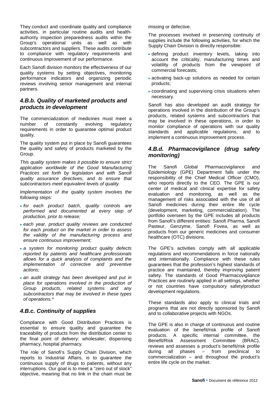They conduct and coordinate quality and compliance activities, in particular routine audits and healthauthority inspection preparedness audits within the Group's operational units as well as with subcontractors and suppliers. These audits contribute to compliance with regulatory requirements and continuous improvement of our performance.

Each Sanofi division monitors the effectiveness of our quality systems by setting objectives, monitoring performance indicators and organizing periodic reviews involving senior management and internal partners.

#### *4.B.b. Quality of marketed products and products in development*

The commercialization of medicines must meet a number of constantly evolving regulatory requirements in order to guarantee optimal product quality.

The quality system put in place by Sanofi guarantees the quality and safety of products marketed by the Group.

*This quality system makes it possible to ensure strict application worldwide of the Good Manufacturing Practices set forth by legislation and with Sanofi quality assurance directives, and to ensure that subcontractors meet equivalent levels of quality.*

*Implementation of the quality system involves the following steps:*

- *for each product batch, quality controls are performed and documented at every step of production, prior to release;*
- *each year, product quality reviews are conducted for each product on the market in order to assess the validity of the manufacturing process and ensure continuous improvement;*
- *a system for monitoring product quality defects reported by patients and healthcare professionals allows for a quick analysis of complaints and the implementation of corrective and preventive actions;*
- *an audit strategy has been developed and put in place for operations involved in the production of Group products, related systems and any subcontractors that may be involved in these types of operations.\**

# *4.B.c. Continuity of supplies*

Compliance with Good Distribution Practices is essential to ensure quality and guarantee the traceability of products from the distribution center to the final point of delivery: wholesaler, dispensing pharmacy, hospital pharmacy.

The role of Sanofi's Supply Chain Division, which reports to Industrial Affairs, is to guarantee the continuous supply of drugs to patients, without any interruptions. Our goal is to meet a "zero out of stock" objective, meaning that no link in the chain must be missing or defective.

The processes involved in preserving continuity of supplies include the following activities, for which the Supply Chain Division is directly responsible:

- defining product inventory levels, taking into account the criticality, manufacturing times and volatility of products from the viewpoint of commercial forecasts;
- activating back-up solutions as needed for certain products;
- coordinating and supervising crisis situations when necessary.

Sanofi has also developed an audit strategy for operations involved in the distribution of the Group's products, related systems and subcontractors that may be involved in these operations, in order to monitor compliance of operations with our quality standards and applicable regulations, and to implement a continuous improvement process.

## *4.B.d. Pharmacovigilance (drug safety monitoring)*

The Sanofi Global Pharmacovigilance and Epidemiology (GPE) Department falls under the responsibility of the Chief Medical Officer (CMO), who reports directly to the CEO. The GPE is our center of medical and clinical expertise for safety evaluation and monitoring, as well as the management of risks associated with the use of all Sanofi medicines during their entire life cycle (development, marketing, commercialization). The portfolio overseen by the GPE includes all products from Sanofi's different entities: Sanofi Pharma, Sanofi Pasteur, Genzyme, Sanofi Fovea, as well as products from our generic medicines and consumer healthcare (OTC) divisions.

The GPE's activities comply with all applicable regulations and recommendations in force nationally and internationally. Compliance with these rules guarantees that the profession's highest standards of practice are maintained, thereby improving patient safety. The standards of Good Pharmacovigilance Practices are routinely applied in all settings, whether or not countries have compulsory safety/product development regulations.

These standards also apply to clinical trials and programs that are not directly sponsored by Sanofi and to collaborative projects with NGOs.

The GPE is also in charge of continuous and routine evaluation of the benefit/risk profile of Sanofi products. A specific internal committee, the Benefit/Risk Assessment Committee (BRAC), reviews and assesses a product's benefit/risk profile during all phases – from preclinical to commercialization – and throughout the product's entire life cycle on the market.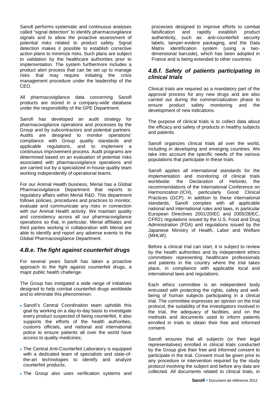Sanofi performs systematic and continuous analyses called "signal detection" to identify pharmacovigilance signals and to allow the proactive assessment of potential risks related to product safety. Signal detection makes it possible to establish corrective action plans to minimize risks. Such plans are subject to validation by the healthcare authorities prior to implementation. The system furthermore includes a product alert process that can be set up to manage risks that may require initiating the crisis management procedure under the leadership of the CEO.

All pharmacovigilance data concerning Sanofi products are stored in a company-wide database under the responsibility of the GPE Department.

Sanofi has developed an audit strategy for pharmacovigilance operations and processes by the Group and by subcontractors and potential partners. Audits are designed to monitor operations' compliance with Group quality standards and applicable regulations, and to implement a continuous improvement process. Audit programs are determined based on an evaluation of potential risks associated with pharmacovigilance operations and are carried out by a specialized in-house quality team working independently of operational teams.

For our Animal Health business, Merial has a Global Pharmacovigilance Department that reports to regulatory affairs within Merial R&D. This department follows policies, procedures and practices to monitor, evaluate and communicate any risks in connection with our Animal Health activity. We maintain quality and consistency across all our pharmacovigilance operations so that, in particular, Merial affiliates and third parties working in collaboration with Merial are able to identify and report any adverse events to the Global Pharmacovigilance Department.

# *4.B.e. The fight against counterfeit drugs*

For several years Sanofi has taken a proactive approach to the fight against counterfeit drugs, a major public health challenge.

The Group has instigated a wide range of initiatives designed to help combat counterfeit drugs worldwide and to eliminate this phenomenon:

- Sanofi's Central Coordination team upholds this goal by working on a day-to-day basis to investigate every product suspected of being counterfeit. It also supports the efforts of the health authorities, customs officials, and national and international police to ensure patients all over the world have access to quality medicines;
- The Central Anti-Counterfeit Laboratory is equipped with a dedicated team of specialists and state-ofthe-art technologies to identify and analyze counterfeit products;
- The Group also uses verification systems and

processes designed to improve efforts to combat<br>falsification and rapidly establish product falsification and rapidly establish authenticity, such as: anti-counterfeit security labels, tamper-evident packaging, and the Data Matrix identification system (using a twodimensional barcode), which has been adopted in France and is being extended to other countries.

# *4.B.f. Safety of patients participating in clinical trials*

Clinical trials are required as a mandatory part of the approval process for any new drugs and are also carried out during the commercialization phase to ensure product safety monitoring and the development of new indications.

The purpose of clinical trials is to collect data about the efficacy and safety of products in healthy subjects and patients.

Sanofi organizes clinical trials all over the world. including in developing and emerging countries. We take into account the specific needs of the various populations that participate in these trials.

Sanofi applies all international standards for the implementation and monitoring of clinical trials worldwide: the Declaration of Helsinki, the recommendations of the International Conference on Harmonization (ICH), particularly Good Clinical Practices (GCP). In addition to these international standards, Sanofi complies with all applicable national and international rules and laws, in particular European Directives 2001/20/EC and 2005/28/EC, CFR21 regulations issued by the U.S. Food and Drug Administration (FDA) and regulations issued by the Japanese Ministry of Health, Labor and Welfare (MHLW).

Before a clinical trial can start, it is subject to review by the health authorities and by independent ethics committees representing healthcare professionals and patients in the country where the trial takes place, in compliance with applicable local and international laws and regulations.

Each ethics committee is an independent body entrusted with protecting the rights, safety and wellbeing of human subjects participating in a clinical trial. The committee expresses an opinion on the trial protocol, the suitability of the investigators involved in the trial, the adequacy of facilities, and on the methods and documents used to inform patients enrolled in trials to obtain their free and informed consent.

Sanofi ensures that all subiects (or their legal representatives) enrolled in clinical trials conducted by the Group give their free and informed consent to participate in the trial. Consent must be given prior to any procedure or intervention required by the study protocol involving the subject and before any data are collected. All documents related to clinical trials, in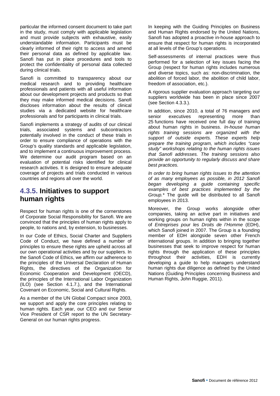particular the informed consent document to take part in the study, must comply with applicable legislation and must provide subjects with exhaustive, easily understandable information. Participants must be clearly informed of their right to access and amend their personal data as defined by applicable law. Sanofi has put in place procedures and tools to protect the confidentiality of personal data collected during clinical trials.

Sanofi is committed to transparency about our medical research and to providing healthcare professionals and patients with all useful information about our development projects and products so that they may make informed medical decisions. Sanofi discloses information about the results of clinical studies via a dedicated website for healthcare professionals and for participants in clinical trials.

Sanofi implements a strategy of audits of our clinical trials, associated systems and subcontractors potentially involved in the conduct of these trials in order to ensure compliance of operations with the Group's quality standards and applicable legislation, and to implement a continuous improvement process. We determine our audit program based on an evaluation of potential risks identified for clinical research activities. It is designed to ensure adequate coverage of projects and trials conducted in various countries and regions all over the world.

# **4.3.5. Initiatives to support human rights**

Respect for human rights is one of the cornerstones of Corporate Social Responsibility for Sanofi. We are convinced that the principles of human rights apply to people, to nations and, by extension, to businesses.

In our Code of Ethics, Social Charter and Suppliers Code of Conduct, we have defined a number of principles to ensure these rights are upheld across all our own operational activities and by our suppliers. In the Sanofi Code of Ethics, we affirm our adherence to the principles of the Universal Declaration of Human Rights, the directives of the Organization for Economic Cooperation and Development (OECD), the principles of the International Labor Organization (ILO) (see Section 4.1.7.), and the International Covenant on Economic, Social and Cultural Rights.

As a member of the UN Global Compact since 2003, we support and apply the core principles relating to human rights. Each year, our CEO and our Senior Vice President of CSR report to the UN Secretary-General on our human rights progress.

In keeping with the Guiding Principles on Business and Human Rights endorsed by the United Nations, Sanofi has adopted a proactive in-house approach to ensure that respect for human rights is incorporated at all levels of the Group's operations.

Self-assessments of internal practices were thus performed for a selection of key issues facing the Group (respect for human rights includes numerous and diverse topics, such as: non-discrimination, the abolition of forced labor, the abolition of child labor, freedom of association, etc.).

A rigorous supplier evaluation approach targeting our suppliers worldwide has been in place since 2007 (see Section 4.3.3.).

In addition, since 2010, a total of 76 managers and senior executives representing more than 25 functions have received one full day of training about human rights in business. *In-house human rights training sessions are organized with the support of outside experts. These experts help prepare the training program, which includes "case study" workshops relating to the human rights issues that Sanofi addresses. The training sessions also provide an opportunity to regularly discuss and share best practices.*

*In order to bring human rights issues to the attention of as many employees as possible, in 2012 Sanofi began developing a guide containing specific examples of best practices implemented by the Group.\** The guide will be distributed to all Sanofi employees in 2013.

Moreover, the Group works alongside other companies, taking an active part in initiatives and working groups on human rights within in the scope of *Entreprises pour les Droits de l'Homme* (EDH), which Sanofi joined in 2007. The Group is a founding member of EDH alongside seven other French international groups. In addition to bringing together businesses that seek to improve respect for human rights through the application of these principles throughout their activities, EDH is currently developing a guide to help managers understand human rights due diligence as defined by the United Nations (Guiding Principles concerning Business and Human Rights, John Ruggie, 2011).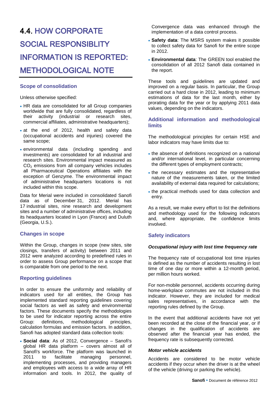# <span id="page-39-0"></span>4.4. HOW CORPORATE SOCIAL RESPONSIBLITY INFORMATION IS REPORTED: METHODOLOGICAL NOTE

#### **Scope of consolidation**

Unless otherwise specified:

- HR data are consolidated for all Group companies worldwide that are fully consolidated, regardless of their activity (industrial or research sites, commercial affiliates, administrative headquarters);
- at the end of 2012, health and safety data (occupational accidents and injuries) covered the same scope;
- environmental data (including spending and investments) are consolidated for all industrial and research sites. Environmental impact measured as  $CO<sub>2</sub>$  emissions from all company vehicles includes all Pharmaceutical Operations affiliates with the exception of Genzyme. The environmental impact of administrative headquarters locations is not included within this scope.

Data for Merial were included in consolidated Sanofi data as of December 31, 2012. Merial has 17 industrial sites, nine research and development sites and a number of administrative offices, including its headquarters located in Lyon (France) and Duluth (Georgia, U.S.).

#### **Changes in scope**

Within the Group, changes in scope (new sites, site closings, transfers of activity) between 2011 and 2012 were analyzed according to predefined rules in order to assess Group performance on a scope that is comparable from one period to the next.

#### **Reporting guidelines**

In order to ensure the uniformity and reliability of indicators used for all entities, the Group has implemented standard reporting guidelines covering social factors as well as safety and environmental factors. These documents specify the methodologies to be used for indicator reporting across the entire Group: definitions, methodological principles, calculation formulas and emission factors. In addition, Sanofi has adopted standard data collection tools:

• **Social data**: As of 2012, Convergence – Sanofi's global HR data platform – covers almost all of Sanofi's workforce. The platform was launched in<br>2011 to facilitate managing personnel,  $10^{10}$  managing implementing processes, and providing managers and employees with access to a wide array of HR information and tools. In 2012, the quality of Convergence data was enhanced through the implementation of a data control process.

- **Safety data**: The MSRS system makes it possible to collect safety data for Sanofi for the entire scope in 2012.
- **Environmental data**: The GREEN tool enabled the consolidation of all 2012 Sanofi data contained in the report.

These tools and guidelines are updated and improved on a regular basis. In particular, the Group carried out a hard close in 2012, leading to minimum estimations of data for the last month, either by prorating data for the year or by applying 2011 data values, depending on the indicators.

#### **Additional information and methodological limits**

The methodological principles for certain HSE and labor indicators may have limits due to:

- the absence of definitions recognized on a national and/or international level, in particular concerning the different types of employment contracts;
- the necessary estimates and the representative nature of the measurements taken, or the limited availability of external data required for calculations;
- the practical methods used for data collection and entry.

As a result, we make every effort to list the definitions and methodology used for the following indicators and, where appropriate, the confidence limits involved.

#### **Safety indicators**

#### *Occupational injury with lost time frequency rate*

The frequency rate of occupational lost time injuries is defined as the number of accidents resulting in lost time of one day or more within a 12-month period, per million hours worked.

For non-mobile personnel, accidents occurring during home-workplace commutes are not included in this indicator. However, they are included for medical sales representatives, in accordance with the reporting rules defined by the Group.

In the event that additional accidents have not yet been recorded at the close of the financial year, or if changes in the qualification of accidents are observed after the financial year has ended, the frequency rate is subsequently corrected.

#### *Motor vehicle accidents*

Accidents are considered to be motor vehicle accidents if they occur when the driver is at the wheel of the vehicle (driving or parking the vehicle).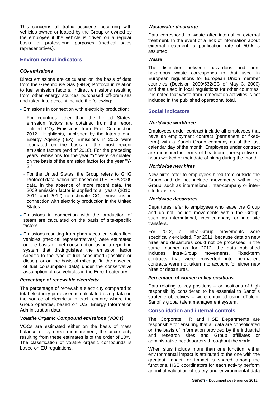This concerns all traffic accidents occurring with vehicles owned or leased by the Group or owned by the employee if the vehicle is driven on a regular basis for professional purposes (medical sales representatives).

#### **Environmental indicators**

#### *CO2 emissions*

Direct emissions are calculated on the basis of data from the Greenhouse Gas (GHG) Protocol in relation to fuel emission factors. Indirect emissions resulting from other energy sources purchased off-premises and taken into account include the following:

- Emissions in connection with electricity production:
	- For countries other than the United States, emission factors are obtained from the report entitled CO<sub>2</sub> Emissions from Fuel Combustion 2012 - Highlights, published by the International Energy Agency (IEA). Emissions in 2012 were estimated on the basis of the most recent emission factors (end of 2010). For the preceding years, emissions for the year "Y" were calculated on the basis of the emission factor for the year "Y-2."
	- For the United States, the Group refers to GHG Protocol data, which are based on U.S. EPA 2009 data. In the absence of more recent data, the 2009 emission factor is applied to all years (2010, 2011 and 2012) to estimate  $CO<sub>2</sub>$  emissions in connection with electricity production in the United States.
- Emissions in connection with the production of steam are calculated on the basis of site-specific factors.
- Emissions resulting from pharmaceutical sales fleet vehicles (medical representatives) were estimated on the basis of fuel consumption using a reporting system that distinguishes the emission factor specific to the type of fuel consumed (gasoline or diesel), or on the basis of mileage (in the absence of fuel consumption data) under the conservative assumption of use vehicles in the Euro 1 category.

#### *Percentage of renewable electricity*

The percentage of renewable electricity compared to total electricity purchased is calculated using data on the source of electricity in each country where the Group operates, based on U.S. Energy Information Administration data.

#### *Volatile Organic Compound emissions (VOCs)*

VOCs are estimated either on the basis of mass balance or by direct measurement; the uncertainty resulting from these estimates is of the order of 10%. The classification of volatile organic compounds is based on EU regulations.

#### *Wastewater discharge*

Data correspond to waste after internal or external treatment. In the event of a lack of information about external treatment, a purification rate of 50% is assumed.

#### *Waste*

The distinction between hazardous and nonhazardous waste corresponds to that used in European regulations for European Union member countries (Decision 2000/532/EC of May 3, 2000) and that used in local regulations for other countries. It is noted that waste from remediation activities is not included in the published operational total.

#### **Social indicators**

#### *Worldwide workforce*

Employees under contract include all employees that have an employment contract (permanent or fixedterm) with a Sanofi Group company as of the last calendar day of the month. Employees under contract are measured in terms of headcount, irrespective of hours worked or their date of hiring during the month.

#### *Worldwide new hires*

New hires refer to employees hired from outside the Group and do not include movements within the Group, such as international, inter-company or intersite transfers.

#### *Worldwide departures*

Departures refer to employees who leave the Group and do not include movements within the Group, such as international, inter-company or inter-site transfers.

For 2012, all intra-Group movements were specifically excluded. For 2011, because data on new hires and departures could not be processed in the same manner as for 2012, the data published includes intra-Group movements. Fixed-term contracts that were converted into permanent contracts were not taken into account for either new hires or departures.

#### *Percentage of women in key positions*

Data relating to key positions  $-$  or positions of high responsibility considered to be essential to Sanofi's strategic objectives – were obtained using eTalent, Sanofi's global talent management system.

#### **Consolidation and internal controls**

The Corporate HR and HSE Departments are responsible for ensuring that all data are consolidated on the basis of information provided by the industrial and research sites and Group affiliates or administrative headquarters throughout the world.

When sites include more than one function, either environmental impact is attributed to the one with the greatest impact, or impact is shared among the functions. HSE coordinators for each activity perform an initial validation of safety and environmental data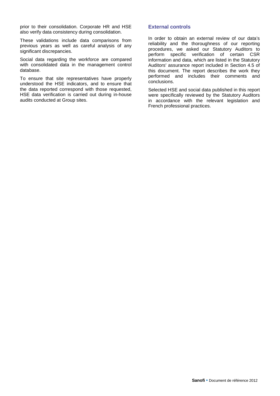prior to their consolidation. Corporate HR and HSE also verify data consistency during consolidation.

These validations include data comparisons from previous years as well as careful analysis of any significant discrepancies.

Social data regarding the workforce are compared with consolidated data in the management control database.

To ensure that site representatives have properly understood the HSE indicators, and to ensure that the data reported correspond with those requested, HSE data verification is carried out during in-house audits conducted at Group sites.

#### **External controls**

In order to obtain an external review of our data's reliability and the thoroughness of our reporting procedures, we asked our Statutory Auditors to perform specific verification of certain CSR information and data, which are listed in the Statutory Auditors' assurance report included in Section 4.5 of this document. The report describes the work they performed and includes their comments and conclusions.

Selected HSE and social data published in this report were specifically reviewed by the Statutory Auditors in accordance with the relevant legislation and French professional practices.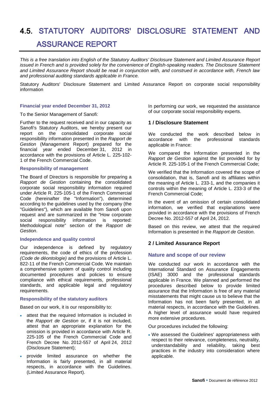# <span id="page-42-0"></span>4.5. STATUTORY AUDITORS' DISCLOSURE STATEMENT AND ASSURANCE REPORT

*This is a free translation into English of the Statutory Auditors' Disclosure Statement and Limited Assurance Report issued in French and is provided solely for the convenience of English-speaking readers. The Disclosure Statement and Limited Assurance Report should be read in conjunction with, and construed in accordance with, French law and professional auditing standards applicable in France.*

Statutory Auditors' Disclosure Statement and Limited Assurance Report on corporate social responsibility information

#### **Financial year ended December 31, 2012**

#### To the Senior Management of Sanofi:

Further to the request received and in our capacity as Sanofi's Statutory Auditors, we hereby present our report on the consolidated corporate social responsibility information presented in the *Rapport de Gestion* (Management Report) prepared for the financial year ended December 31, 2012 in accordance with the provisions of Article L. 225-102- 1 of the French Commercial Code.

#### **Responsibility of management**

The Board of Directors is responsible for preparing a *Rapport de Gestion* containing the consolidated corporate social responsibility information required under Article R. 225-105-1 of the French Commercial Code (hereinafter the "Information"), determined according to the guidelines used by the company (the "Guidelines"), which are available from Sanofi upon request and are summarized in the "How corporate social responsibility information is reported: Methodological note" section of the *Rapport de Gestion*.

#### **Independence and quality control**

Our independence is defined by regulatory requirements, the code of ethics of the profession *(Code de déontologie)* and the provisions of Article L. 822-11 of the French Commercial Code. We maintain a comprehensive system of quality control including documented procedures and policies to ensure compliance with ethical requirements, professional standards, and applicable legal and regulatory requirements.

#### **Responsibility of the statutory auditors**

Based on our work, it is our responsibility to:

- attest that the required Information is included in the *Rapport de Gestion* or, if it is not included, attest that an appropriate explanation for the omission is provided in accordance with Article R. 225-105 of the French Commercial Code and French Decree No. 2012-557 of April 24, 2012 (Disclosure Statement);
- provide limited assurance on whether the Information is fairly presented, in all material respects, in accordance with the Guidelines. (Limited Assurance Report).

In performing our work, we requested the assistance of our corporate social responsibility experts.

#### **1 / Disclosure Statement**

We conducted the work described below in<br>accordance with the professional standards accordance with the professional applicable in France:

We compared the Information presented in the *Rapport de Gestion* against the list provided for by Article R. 225-105-1 of the French Commercial Code;

We verified that the Information covered the scope of consolidation, that is, Sanofi and its affiliates within the meaning of Article L. 233-1, and the companies it controls within the meaning of Article L. 233-3 of the French Commercial Code;

In the event of an omission of certain consolidated information, we verified that explanations were provided in accordance with the provisions of French Decree No. 2012-557 of April 24, 2012.

Based on this review, we attest that the required Information is presented in the *Rapport de Gestion*.

#### **2 / Limited Assurance Report**

#### **Nature and scope of our review**

We conducted our work in accordance with the International Standard on Assurance Engagements (ISAE) 3000 and the professional standards applicable in France. We planned and performed the procedures described below to provide limited assurance that the Information is free of any material misstatements that might cause us to believe that the Information has not been fairly presented, in all material respects, in accordance with the Guidelines. A higher level of assurance would have required more extensive procedures.

Our procedures included the following:

• We assessed the Guidelines' appropriateness with respect to their relevance, completeness, neutrality, understandability and reliability, taking best practices in the industry into consideration where applicable.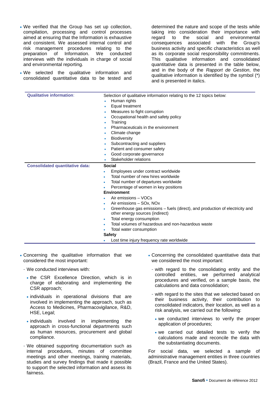- We verified that the Group has set up collection, compilation, processing and control processes aimed at ensuring that the Information is exhaustive and consistent. We assessed internal control and risk management procedures relating to the preparation of Information. We conducted interviews with the individuals in charge of social and environmental reporting.
- We selected the qualitative information and consolidated quantitative data to be tested and

determined the nature and scope of the tests while taking into consideration their importance with regard to the social and environmental consequences associated with the Group's business activity and specific characteristics as well as its corporate social responsibility commitments. This qualitative information and consolidated quantitative data is presented in the table below, and in the body of the *Rapport de Gestion*, the qualitative information is identified by the symbol (\*) and is presented in italics.

| <b>Qualitative information:</b>        | Selection of qualitative information relating to the 12 topics below:             |
|----------------------------------------|-----------------------------------------------------------------------------------|
|                                        | Human rights                                                                      |
|                                        | Equal treatment                                                                   |
|                                        | Measures to fight corruption                                                      |
|                                        | Occupational health and safety policy                                             |
|                                        | Training                                                                          |
|                                        | Pharmaceuticals in the environment                                                |
|                                        | Climate change<br>۰                                                               |
|                                        | Biodiversity                                                                      |
|                                        | Subcontracting and suppliers<br>٠                                                 |
|                                        | Patient and consumer safety                                                       |
|                                        | Good corporate governance                                                         |
|                                        | Stakeholder relations                                                             |
| <b>Consolidated quantitative data:</b> | Social                                                                            |
|                                        | Employees under contract worldwide<br>٠                                           |
|                                        | Total number of new hires worldwide                                               |
|                                        | Total number of departures worldwide                                              |
|                                        | Percentage of women in key positions                                              |
|                                        | <b>Environment</b>                                                                |
|                                        | Air emissions - VOCs                                                              |
|                                        | Air emissions – SOx, NOx                                                          |
|                                        | Greenhouse gas emissions - fuels (direct), and production of electricity and<br>۰ |
|                                        | other energy sources (indirect)                                                   |
|                                        | Total energy consumption<br>۰                                                     |
|                                        | Total volumes of hazardous and non-hazardous waste                                |
|                                        | Total water consumption                                                           |
|                                        | <b>Safety</b>                                                                     |
|                                        | Lost time injury frequency rate worldwide                                         |

- Concerning the qualitative information that we considered the most important:
	- We conducted interviews with:
		- the CSR Excellence Direction, which is in charge of elaborating and implementing the CSR approach;
		- individuals in operational divisions that are involved in implementing the approach, such as Access to Medicines, Pharmacovigilance, R&D, HSE, Legal;
		- individuals involved in implementing the approach in cross-functional departments such as human resources, procurement and global compliance.
	- We obtained supporting documentation such as internal procedures, minutes of committee meetings and other meetings, training materials, studies and survey findings that made it possible to support the selected information and assess its fairness.
- Concerning the consolidated quantitative data that we considered the most important:
- with regard to the consolidating entity and the controlled entities, we performed analytical procedures and verified, on a sample basis, the calculations and data consolidation;
- with regard to the sites that we selected based on their business activity, their contribution to consolidated indicators, their location, as well as a risk analysis, we carried out the following:
	- we conducted interviews to verify the proper application of procedures;
	- we carried out detailed tests to verify the calculations made and reconcile the data with the substantiating documents.

For social data, we selected a sample of administrative management entities in three countries (Brazil, France and the United States).